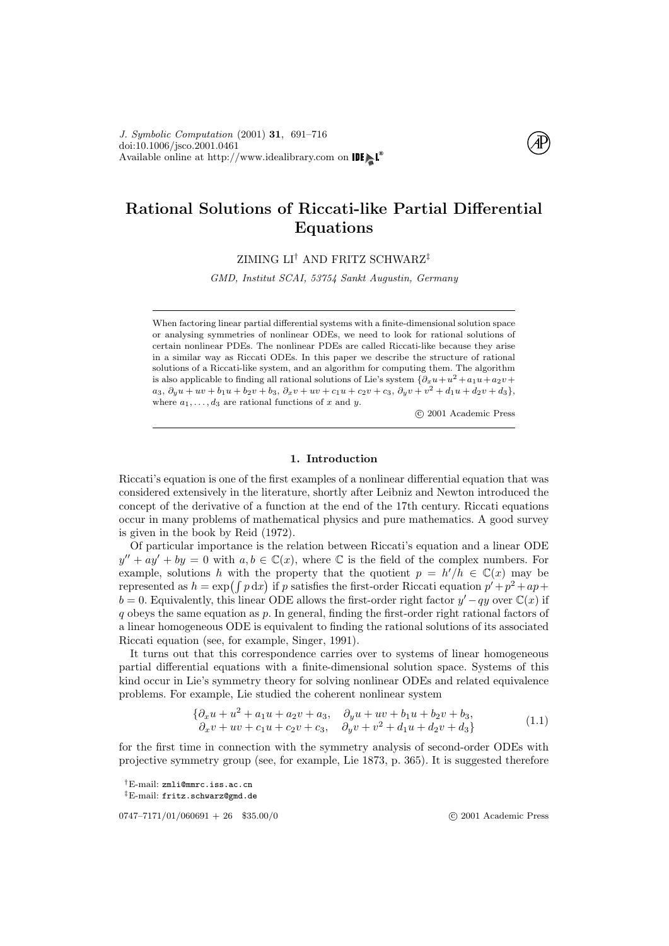

# Rational Solutions of Riccati-like Partial Differential Equations

ZIMING LI† AND FRITZ SCHWARZ‡

GMD, Institut SCAI, 53754 Sankt Augustin, Germany

When factoring linear partial differential systems with a finite-dimensional solution space or analysing symmetries of nonlinear ODEs, we need to look for rational solutions of certain nonlinear PDEs. The nonlinear PDEs are called Riccati-like because they arise in a similar way as Riccati ODEs. In this paper we describe the structure of rational solutions of a Riccati-like system, and an algorithm for computing them. The algorithm is also applicable to finding all rational solutions of Lie's system  $\{\partial_x u + u^2 + a_1 u + a_2 v +$  $a_3, \partial_y u + u v + b_1 u + b_2 v + b_3, \partial_x v + u v + c_1 u + c_2 v + c_3, \partial_y v + v^2 + d_1 u + d_2 v + d_3\},$ where  $a_1, \ldots, d_3$  are rational functions of x and y.

c 2001 Academic Press

## 1. Introduction

Riccati's equation is one of the first examples of a nonlinear differential equation that was considered extensively in the literature, shortly after Leibniz and Newton introduced the concept of the derivative of a function at the end of the 17th century. Riccati equations occur in many problems of mathematical physics and pure mathematics. A good survey is given in the book by [Reid](#page-25-0) [\(1972](#page-25-0)).

Of particular importance is the relation between Riccati's equation and a linear ODE  $y'' + ay' + by = 0$  with  $a, b \in \mathbb{C}(x)$ , where  $\mathbb C$  is the field of the complex numbers. For example, solutions h with the property that the quotient  $p = h'/h \in \mathbb{C}(x)$  may be represented as  $h = \exp(\int p \, dx)$  if p satisfies the first-order Riccati equation  $p' + p^2 + ap +$  $b = 0$ . Equivalently, this linear ODE allows the first-order right factor  $y' - qy$  over  $\mathbb{C}(x)$  if  $q$  obeys the same equation as  $p$ . In general, finding the first-order right rational factors of a linear homogeneous ODE is equivalent to finding the rational solutions of its associated Riccati equation (see, for example, [Singer](#page-25-1), [1991](#page-25-1)).

It turns out that this correspondence carries over to systems of linear homogeneous partial differential equations with a finite-dimensional solution space. Systems of this kind occur in Lie's symmetry theory for solving nonlinear ODEs and related equivalence problems. For example, Lie studied the coherent nonlinear system

<span id="page-0-0"></span>
$$
\begin{aligned} \left\{\partial_x u + u^2 + a_1 u + a_2 v + a_3, & \partial_y u + uv + b_1 u + b_2 v + b_3, \\ \partial_x v + uv + c_1 u + c_2 v + c_3, & \partial_y v + v^2 + d_1 u + d_2 v + d_3 \right\} \end{aligned} \tag{1.1}
$$

for the first time in connection with the symmetry analysis of second-order ODEs with projective symmetry group (see, for example, Lie 1873, p. 365). It is suggested therefore

†E-mail: zmli@mmrc.iss.ac.cn ‡E-mail: fritz.schwarz@gmd.de

0747–7171/01/060691 + 26 \$35.00/0 (c) 2001 Academic Press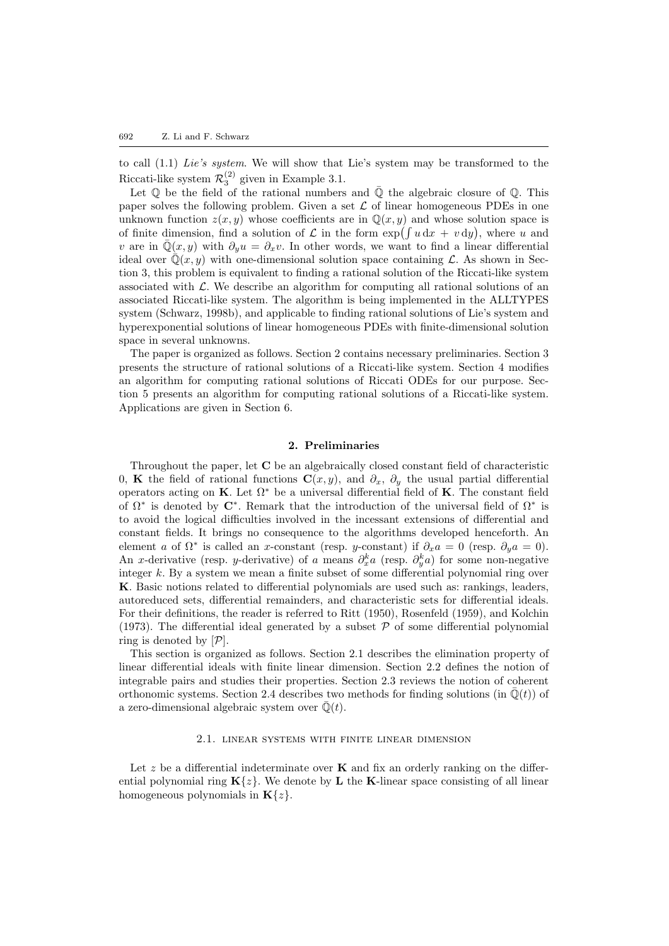to call([1.1\)](#page-0-0) Lie's system. We will show that Lie's system may be transformed to the Riccati-like system  $\mathcal{R}_3^{(2)}$  given in Example [3.1](#page-6-0).

Let  $\mathbb Q$  be the field of the rational numbers and  $\bar{\mathbb Q}$  the algebraic closure of  $\mathbb Q$ . This paper solves the following problem. Given a set  $\mathcal L$  of linear homogeneous PDEs in one unknown function  $z(x, y)$  whose coefficients are in  $\mathbb{Q}(x, y)$  and whose solution space is of finite dimension, find a solution of  $\mathcal L$  in the form  $\exp(\int u dx + v dy)$ , where u and v are in  $\overline{Q}(x, y)$  with  $\partial_y u = \partial_x v$ . In other words, we want to find a linear differential ideal over  $\mathbb{Q}(x, y)$  with one-dimensional solution space containing L. As shown in Section [3](#page-6-1), this problem is equivalent to finding a rational solution of the Riccati-like system associated with  $\mathcal{L}$ . We describe an algorithm for computing all rational solutions of an associated Riccati-like system. The algorithm is being implemented in the ALLTYPES system [\(Schwarz,](#page-25-2) [1998b\)](#page-25-2), and applicable to finding rational solutions of Lie's system and hyperexponential solutions of linear homogeneous PDEs with finite-dimensional solution space in several unknowns.

The paper is organized as follows. Section [2](#page-1-0) contains necessary preliminaries. Section [3](#page-6-1) presents the structure of rational solutions of a Riccati-like system. Section [4](#page-8-0) modifies an algorithm for computing rational solutions of Riccati ODEs for our purpose. Section [5](#page-11-0) presents an algorithm for computing rational solutions of a Riccati-like system. Applications are given in Section [6.](#page-19-0)

## 2. Preliminaries

<span id="page-1-0"></span>Throughout the paper, let C be an algebraically closed constant field of characteristic 0, K the field of rational functions  $\mathbf{C}(x, y)$ , and  $\partial_x$ ,  $\partial_y$  the usual partial differential operators acting on K. Let  $\Omega^*$  be a universal differential field of K. The constant field of  $\Omega^*$  is denoted by  $\mathbb{C}^*$ . Remark that the introduction of the universal field of  $\Omega^*$  is to avoid the logical difficulties involved in the incessant extensions of differential and constant fields. It brings no consequence to the algorithms developed henceforth. An element a of  $\Omega^*$  is called an x-constant (resp. y-constant) if  $\partial_x a = 0$  (resp.  $\partial_y a = 0$ ). An x-derivative (resp. y-derivative) of a means  $\partial_x^k a$  (resp.  $\partial_y^k a$ ) for some non-negative integer k. By a system we mean a finite subset of some differential polynomial ring over K. Basic notions related to differential polynomials are used such as: rankings, leaders, autoreduced sets, differential remainders, and characteristic sets for differential ideals. For their definitions, the reader is referred to [Ritt](#page-25-3) ([1950\)](#page-25-3), [Rosenfeld](#page-25-4) [\(1959](#page-25-4)), and [Kolchin](#page-25-5) ([1973\)](#page-25-5). The differential ideal generated by a subset  $P$  of some differential polynomial ring is denoted by  $[\mathcal{P}].$ 

This section is organized as follows. Section [2.1](#page-1-1) describes the elimination property of linear differential ideals with finite linear dimension. Section [2.2](#page-2-0) defines the notion of integrable pairs and studies their properties. Section [2.3](#page-4-0) reviews the notion of coherent orthonomic systems. Section [2.4](#page-4-1) describes two methods for finding solutions (in  $\overline{\mathbb{Q}}(t)$ ) of a zero-dimensional algebraic system over  $\bar{\mathbb{Q}}(t)$ .

### 2.1. linear systems with finite linear dimension

<span id="page-1-1"></span>Let  $z$  be a differential indeterminate over  $\bf{K}$  and fix an orderly ranking on the differential polynomial ring  $\mathbf{K}\{z\}$ . We denote by L the K-linear space consisting of all linear homogeneous polynomials in  $K\{z\}$ .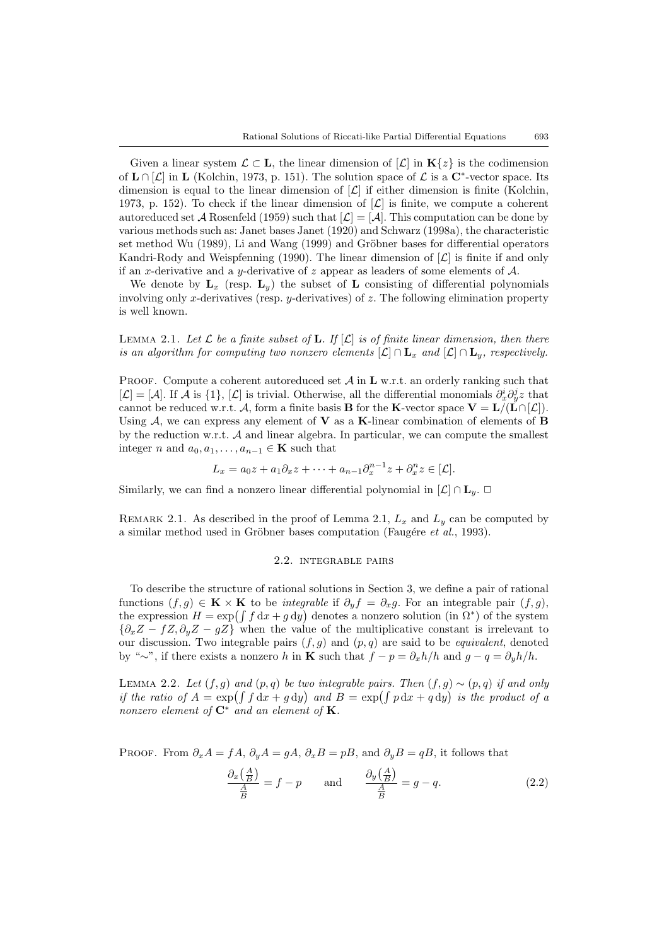Given a linear system  $\mathcal{L} \subset \mathbf{L}$ , the linear dimension of  $[\mathcal{L}]$  in  $\mathbf{K}\{z\}$  is the codimension of  $\mathbf{L} \cap [\mathcal{L}]$  in  $\mathbf{L}$  ([Kolchin](#page-25-5), [1973](#page-25-5), p. 151). The solution space of  $\mathcal{L}$  is a  $\mathbf{C}^*$ -vector space. Its dimension is equal to the linear dimension of  $[\mathcal{L}]$  if either dimension is finite [\(Kolchin,](#page-25-5) [1973,](#page-25-5) p. 152). To check if the linear dimension of  $[\mathcal{L}]$  is finite, we compute a coherent autoreduced set A [Rosenfeld](#page-25-4) [\(1959](#page-25-4)) such that  $[\mathcal{L}] = [\mathcal{A}]$ . This computation can be done by various methods such as: Janet bases [Janet](#page-25-6) ([1920\)](#page-25-6) and [Schwarz](#page-25-7) ([1998a](#page-25-7)), the characteristic set method [Wu](#page-25-8)  $(1989)$  $(1989)$ , [Li and Wang](#page-25-9)  $(1999)$  $(1999)$  and Gröbner bases for differential operators [Kandri-Rody and Weispfenning](#page-25-10) [\(1990](#page-25-10)). The linear dimension of  $[\mathcal{L}]$  is finite if and only if an x-derivative and a y-derivative of z appear as leaders of some elements of  $A$ .

We denote by  $L_x$  (resp.  $L_y$ ) the subset of L consisting of differential polynomials involving only x-derivatives (resp. y-derivatives) of z. The following elimination property is well known.

<span id="page-2-1"></span>LEMMA 2.1. Let  $\mathcal L$  be a finite subset of **L**. If  $[\mathcal L]$  is of finite linear dimension, then there is an algorithm for computing two nonzero elements  $[\mathcal{L}] \cap \mathbf{L}_x$  and  $[\mathcal{L}] \cap \mathbf{L}_y$ , respectively.

PROOF. Compute a coherent autoreduced set  $\mathcal{A}$  in  $\mathbf{L}$  w.r.t. an orderly ranking such that  $[\mathcal{L}] = [\mathcal{A}]$ . If  $\mathcal{A}$  is  $\{1\}$ ,  $[\mathcal{L}]$  is trivial. Otherwise, all the differential monomials  $\partial_x^i \partial_y^j z$  that cannot be reduced w.r.t. A, form a finite basis **B** for the **K**-vector space  $V = L/(L \cap [\mathcal{L}])$ . Using  $A$ , we can express any element of **V** as a **K**-linear combination of elements of **B** by the reduction w.r.t.  $A$  and linear algebra. In particular, we can compute the smallest integer n and  $a_0, a_1, \ldots, a_{n-1} \in \mathbf{K}$  such that

$$
L_x = a_0 z + a_1 \partial_x z + \dots + a_{n-1} \partial_x^{n-1} z + \partial_x^n z \in [\mathcal{L}].
$$

Similarly, we can find a nonzero linear differential polynomial in  $[\mathcal{L}] \cap L_y$ .  $\Box$ 

REMARK 2.1. As described in the proof of Lemma [2.1,](#page-2-1)  $L_x$  and  $L_y$  can be computed by a similar method used in Gröbner bases computation (Faugére et al., [1993](#page-25-11)).

#### <span id="page-2-3"></span>2.2. integrable pairs

<span id="page-2-0"></span>To describe the structure of rational solutions in Section [3](#page-6-1), we define a pair of rational functions  $(f, g) \in \mathbf{K} \times \mathbf{K}$  to be *integrable* if  $\partial_y f = \partial_x g$ . For an integrable pair  $(f, g)$ , the expression  $H = \exp\left(\int f \, dx + g \, dy\right)$  denotes a nonzero solution (in  $\Omega^*$ ) of the system  ${\partial_x Z - fZ, \partial_y Z - gZ}$  when the value of the multiplicative constant is irrelevant to our discussion. Two integrable pairs  $(f, g)$  and  $(p, q)$  are said to be *equivalent*, denoted by "∼", if there exists a nonzero h in **K** such that  $f - p = \partial_x h/h$  and  $g - q = \partial_y h/h$ .

LEMMA 2.2. Let  $(f, g)$  and  $(p, q)$  be two integrable pairs. Then  $(f, g) \sim (p, q)$  if and only if the ratio of  $A = \exp\left(\int f \, dx + g \, dy\right)$  and  $B = \exp\left(\int p \, dx + q \, dy\right)$  is the product of a nonzero element of  $\mathbf{C}^*$  and an element of  $\mathbf{K}$ .

PROOF. From  $\partial_x A = fA$ ,  $\partial_y A = gA$ ,  $\partial_x B = pB$ , and  $\partial_y B = qB$ , it follows that

<span id="page-2-2"></span>
$$
\frac{\partial_x \left(\frac{A}{B}\right)}{\frac{A}{B}} = f - p \quad \text{and} \quad \frac{\partial_y \left(\frac{A}{B}\right)}{\frac{A}{B}} = g - q. \tag{2.2}
$$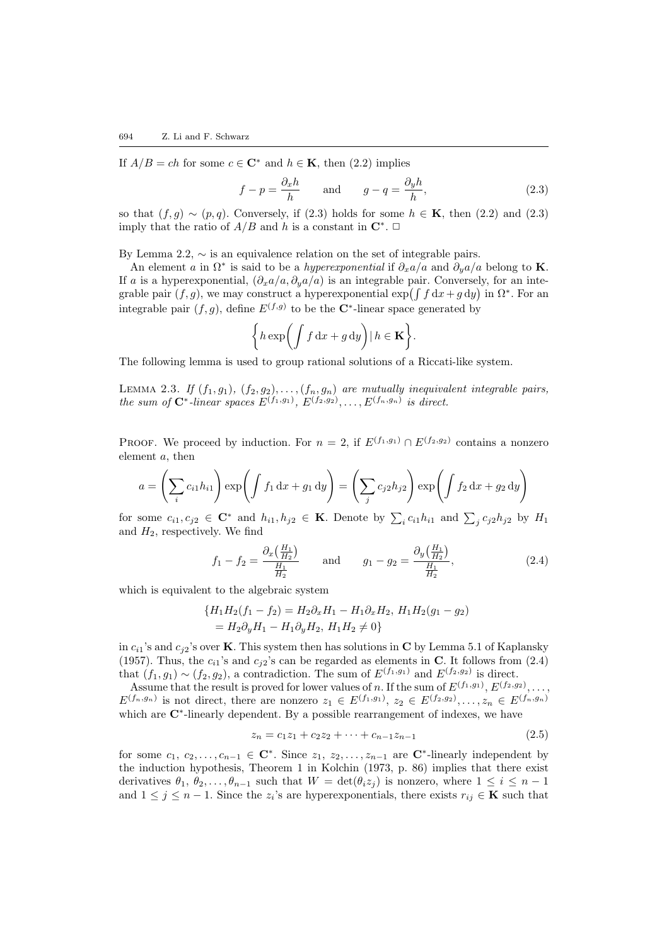If $A/B = ch$  for some  $c \in \mathbb{C}^*$  and  $h \in \mathbb{K}$ , then  $(2.2)$  $(2.2)$  implies

<span id="page-3-0"></span>
$$
f - p = \frac{\partial_x h}{h} \quad \text{and} \quad g - q = \frac{\partial_y h}{h}, \tag{2.3}
$$

sothat  $(f, g) \sim (p, q)$ . Conversely, if ([2.3\)](#page-3-0) holds for some  $h \in \mathbf{K}$ , then [\(2.2\)](#page-2-2) and (2.3) imply that the ratio of  $A/B$  and h is a constant in  $\mathbb{C}^*$ .  $\Box$ 

By Lemma [2.2,](#page-2-3)  $\sim$  is an equivalence relation on the set of integrable pairs.

An element a in  $\Omega^*$  is said to be a *hyperexponential* if  $\partial_x a/a$  and  $\partial_y a/a$  belong to **K**. If a is a hyperexponential,  $(\partial_x a/a, \partial_y a/a)$  is an integrable pair. Conversely, for an integrable pair  $(f, g)$ , we may construct a hyperexponential  $\exp\left(\int f\,dx + g\,dy\right)$  in  $\Omega^*$ . For an integrable pair  $(f, g)$ , define  $E^{(f,g)}$  to be the C<sup>\*</sup>-linear space generated by

<span id="page-3-3"></span>
$$
\bigg\{h\exp\bigg(\int f\,\mathrm{d} x+g\,\mathrm{d} y\bigg)\big|\,h\in\mathbf{K}\bigg\}.
$$

The following lemma is used to group rational solutions of a Riccati-like system.

LEMMA 2.3. If  $(f_1, g_1)$ ,  $(f_2, g_2)$ , ...,  $(f_n, g_n)$  are mutually inequivalent integrable pairs, the sum of  $\mathbf{C}^*$ -linear spaces  $E^{(f_1,g_1)}, E^{(f_2,g_2)}, \ldots, E^{(f_n,g_n)}$  is direct.

PROOF. We proceed by induction. For  $n = 2$ , if  $E^{(f_1,g_1)} \cap E^{(f_2,g_2)}$  contains a nonzero element a, then

$$
a = \left(\sum_{i} c_{i1} h_{i1}\right) \exp\left(\int f_1 \, dx + g_1 \, dy\right) = \left(\sum_{j} c_{j2} h_{j2}\right) \exp\left(\int f_2 \, dx + g_2 \, dy\right)
$$

for some  $c_{i1}, c_{j2} \in \mathbb{C}^*$  and  $h_{i1}, h_{j2} \in \mathbb{K}$ . Denote by  $\sum_i c_{i1}h_{i1}$  and  $\sum_j c_{j2}h_{j2}$  by  $H_1$ and  $H_2$ , respectively. We find

<span id="page-3-1"></span>
$$
f_1 - f_2 = \frac{\partial_x \left(\frac{H_1}{H_2}\right)}{\frac{H_1}{H_2}} \quad \text{and} \quad g_1 - g_2 = \frac{\partial_y \left(\frac{H_1}{H_2}\right)}{\frac{H_1}{H_2}},\tag{2.4}
$$

which is equivalent to the algebraic system

$$
\{H_1H_2(f_1 - f_2) = H_2\partial_x H_1 - H_1\partial_x H_2, H_1H_2(g_1 - g_2) = H_2\partial_y H_1 - H_1\partial_y H_2, H_1H_2 \neq 0\}
$$

in  $c_{i1}$ 's and  $c_{i2}$ 's over K. This system then has solutions in C by Lemma [5.1](#page-12-0) of [Kaplansky](#page-25-12) ([1957\)](#page-25-12).Thus, the  $c_{i1}$ 's and  $c_{i2}$ 's can be regarded as elements in C. It follows from ([2.4\)](#page-3-1) that  $(f_1, g_1) \sim (f_2, g_2)$ , a contradiction. The sum of  $E^{(f_1, g_1)}$  and  $E^{(f_2, g_2)}$  is direct.

Assume that the result is proved for lower values of n. If the sum of  $E^{(f_1,g_1)}, E^{(f_2,g_2)}$ , . . . ,  $E^{(f_n,g_n)}$  is not direct, there are nonzero  $z_1 \in E^{(f_1,g_1)}, z_2 \in E^{(f_2,g_2)}, \ldots, z_n \in E^{(f_n,g_n)}$ which are C<sup>∗</sup>-linearly dependent. By a possible rearrangement of indexes, we have

<span id="page-3-2"></span>
$$
z_n = c_1 z_1 + c_2 z_2 + \dots + c_{n-1} z_{n-1}
$$
\n
$$
(2.5)
$$

for some  $c_1, c_2, \ldots, c_{n-1} \in \mathbb{C}^*$ . Since  $z_1, z_2, \ldots, z_{n-1}$  are  $\mathbb{C}^*$ -linearly independent by the induction hypothesis, Theorem 1 in [Kolchin](#page-25-5) ([1973,](#page-25-5) p. 86) implies that there exist derivatives  $\theta_1, \theta_2, \ldots, \theta_{n-1}$  such that  $W = \det(\theta_i z_j)$  is nonzero, where  $1 \leq i \leq n-1$ and  $1 \leq j \leq n-1$ . Since the  $z_i$ 's are hyperexponentials, there exists  $r_{ij} \in \mathbf{K}$  such that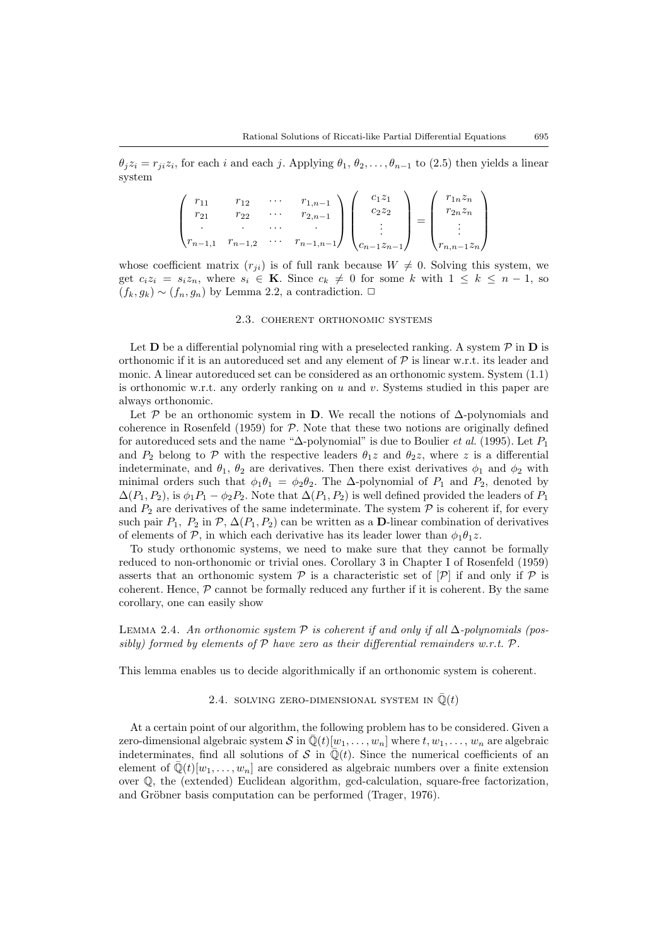$\theta_j z_i = r_{ji} z_i$  $\theta_j z_i = r_{ji} z_i$  $\theta_j z_i = r_{ji} z_i$ , for each i and each j. Applying  $\theta_1, \theta_2, \dots, \theta_{n-1}$  to ([2.5\)](#page-3-2) then yields a linear system

$$
\begin{pmatrix}\nr_{11} & r_{12} & \cdots & r_{1,n-1} \\
r_{21} & r_{22} & \cdots & r_{2,n-1} \\
\vdots & \vdots & \ddots & \vdots \\
r_{n-1,1} & r_{n-1,2} & \cdots & r_{n-1,n-1}\n\end{pmatrix}\n\begin{pmatrix}\nc_{1}z_{1} \\
c_{2}z_{2} \\
\vdots \\
c_{n-1}z_{n-1}\n\end{pmatrix}\n=\n\begin{pmatrix}\nr_{1n}z_{n} \\
r_{2n}z_{n} \\
\vdots \\
r_{n,n-1}z_{n}\n\end{pmatrix}
$$

whose coefficient matrix  $(r_{ji})$  is of full rank because  $W \neq 0$ . Solving this system, we get  $c_i z_i = s_i z_n$ , where  $s_i \in \mathbf{K}$ . Since  $c_k \neq 0$  for some k with  $1 \leq k \leq n-1$ , so  $(f_k, g_k) \sim (f_n, g_n)$  by Lemma [2.2,](#page-2-3) a contradiction.  $\Box$ 

### 2.3. coherent orthonomic systems

<span id="page-4-0"></span>Let  $D$  be a differential polynomial ring with a preselected ranking. A system  $\mathcal P$  in  $D$  is orthonomic if it is an autoreduced set and any element of  $P$  is linear w.r.t. its leader and monic. A linear autoreduced set can be considered as an orthonomic system. System([1.1\)](#page-0-0) is orthonomic w.r.t. any orderly ranking on  $u$  and  $v$ . Systems studied in this paper are always orthonomic.

Let P be an orthonomic system in D. We recall the notions of  $\Delta$ -polynomials and coherence in [Rosenfeld](#page-25-4) ([1959\)](#page-25-4) for  $P$ . Note that these two notions are originally defined for autoreduced sets and the name " $\Delta$ -polynomial" is due to [Boulier](#page-25-13) *et al.* ([1995\)](#page-25-13). Let  $P_1$ and  $P_2$  belong to  $P$  with the respective leaders  $\theta_1 z$  and  $\theta_2 z$ , where z is a differential indeterminate, and  $\theta_1$ ,  $\theta_2$  are derivatives. Then there exist derivatives  $\phi_1$  and  $\phi_2$  with minimal orders such that  $\phi_1 \theta_1 = \phi_2 \theta_2$ . The  $\Delta$ -polynomial of  $P_1$  and  $P_2$ , denoted by  $\Delta(P_1, P_2)$ , is  $\phi_1 P_1 - \phi_2 P_2$ . Note that  $\Delta(P_1, P_2)$  is well defined provided the leaders of  $P_1$ and  $P_2$  are derivatives of the same indeterminate. The system  $P$  is coherent if, for every such pair  $P_1$ ,  $P_2$  in  $\mathcal{P}, \Delta(P_1, P_2)$  can be written as a **D**-linear combination of derivatives of elements of P, in which each derivative has its leader lower than  $\phi_1 \theta_1 z$ .

To study orthonomic systems, we need to make sure that they cannot be formally reduced to non-orthonomic or trivial ones. Corollary 3 in Chapter I of [Rosenfeld](#page-25-4) ([1959\)](#page-25-4) asserts that an orthonomic system  $P$  is a characteristic set of  $[P]$  if and only if P is coherent. Hence,  $\mathcal P$  cannot be formally reduced any further if it is coherent. By the same corollary, one can easily show

# LEMMA 2.4. An orthonomic system  $P$  is coherent if and only if all  $\Delta$ -polynomials (possibly) formed by elements of  $P$  have zero as their differential remainders w.r.t.  $P$ .

<span id="page-4-1"></span>This lemma enables us to decide algorithmically if an orthonomic system is coherent.

#### <span id="page-4-2"></span>2.4. SOLVING ZERO-DIMENSIONAL SYSTEM IN  $\overline{\mathbb{Q}}(t)$

At a certain point of our algorithm, the following problem has to be considered. Given a zero-dimensional algebraic system S in  $\overline{\mathbb{Q}}(t)[w_1, \ldots, w_n]$  where  $t, w_1, \ldots, w_n$  are algebraic indeterminates, find all solutions of S in  $\overline{\mathbb{Q}}(t)$ . Since the numerical coefficients of an element of  $\mathbb{Q}(t)[w_1, \ldots, w_n]$  are considered as algebraic numbers over a finite extension over Q, the (extended) Euclidean algorithm, gcd-calculation, square-free factorization, andGröbner basis computation can be performed ([Trager](#page-25-14), [1976](#page-25-14)).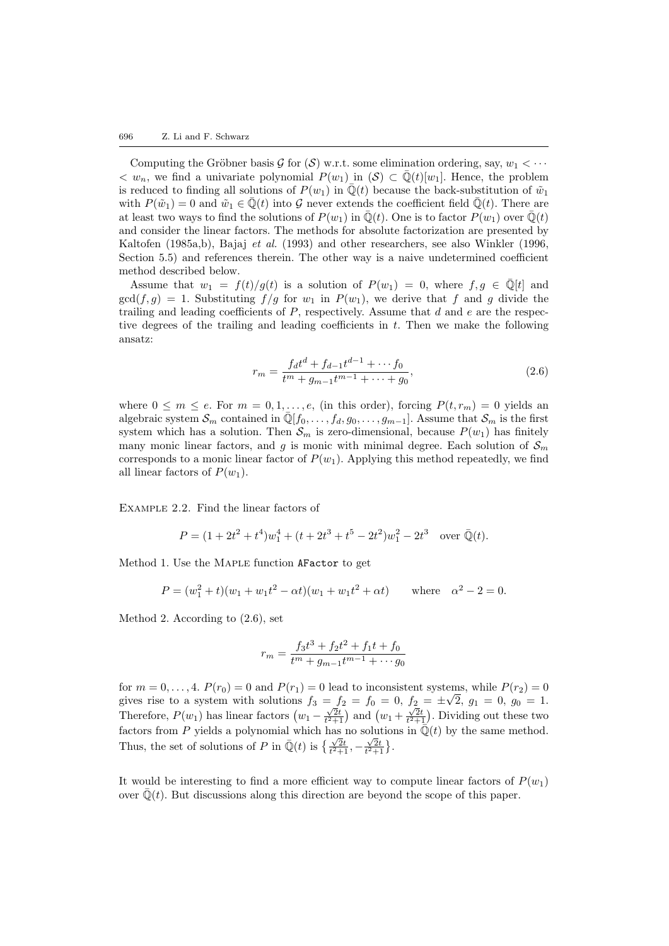Computing the Gröbner basis G for  $(S)$  w.r.t. some elimination ordering, say,  $w_1 < \cdots$  $\langle w_n, w \rangle$  we find a univariate polynomial  $P(w_1)$  in  $(\mathcal{S}) \subset \overline{\mathbb{Q}}(t)[w_1]$ . Hence, the problem is reduced to finding all solutions of  $P(w_1)$  in  $\overline{\mathbb{Q}}(t)$  because the back-substitution of  $\tilde{w}_1$ with  $P(\tilde{w}_1) = 0$  and  $\tilde{w}_1 \in \overline{\mathbb{Q}}(t)$  into G never extends the coefficient field  $\overline{\mathbb{Q}}(t)$ . There are at least two ways to find the solutions of  $P(w_1)$  in  $\overline{\mathbb{Q}}(t)$ . One is to factor  $P(w_1)$  over  $\overline{\mathbb{Q}}(t)$ and consider the linear factors. The methods for absolute factorization are presented by [Kaltofen](#page-25-15) [\(1985a](#page-25-15)[,b\)](#page-25-16), [Bajaj](#page-25-17) et al. ([1993\)](#page-25-17) and other researchers, see also [Winkler](#page-25-18) ([1996,](#page-25-18) Section 5.5) and references therein. The other way is a naive undetermined coefficient method described below.

Assume that  $w_1 = f(t)/g(t)$  is a solution of  $P(w_1) = 0$ , where  $f, g \in \overline{\mathbb{Q}}[t]$  and  $gcd(f,g) = 1$ . Substituting  $f/g$  for  $w_1$  in  $P(w_1)$ , we derive that f and g divide the trailing and leading coefficients of  $P$ , respectively. Assume that  $d$  and  $e$  are the respective degrees of the trailing and leading coefficients in  $t$ . Then we make the following ansatz:

<span id="page-5-0"></span>
$$
r_m = \frac{f_d t^d + f_{d-1} t^{d-1} + \dots + f_0}{t^m + g_{m-1} t^{m-1} + \dots + g_0},\tag{2.6}
$$

where  $0 \leq m \leq e$ . For  $m = 0, 1, \ldots, e$ , (in this order), forcing  $P(t, r_m) = 0$  yields an algebraic system  $S_m$  contained in  $\mathbb{Q}[f_0, \ldots, f_d, g_0, \ldots, g_{m-1}]$ . Assume that  $S_m$  is the first system which has a solution. Then  $S_m$  is zero-dimensional, because  $P(w_1)$  has finitely many monic linear factors, and g is monic with minimal degree. Each solution of  $\mathcal{S}_m$ corresponds to a monic linear factor of  $P(w_1)$ . Applying this method repeatedly, we find all linear factors of  $P(w_1)$ .

Example 2.2. Find the linear factors of

$$
P = (1 + 2t2 + t4)w14 + (t + 2t3 + t5 - 2t2)w12 - 2t3 \text{ over } \bar{Q}(t).
$$

Method 1. Use the Maple function AFactor to get

$$
P = (w_1^2 + t)(w_1 + w_1t^2 - \alpha t)(w_1 + w_1t^2 + \alpha t) \quad \text{where} \quad \alpha^2 - 2 = 0.
$$

Method 2. According to [\(2.6](#page-5-0)), set

$$
r_m = \frac{f_3 t^3 + f_2 t^2 + f_1 t + f_0}{t^m + g_{m-1} t^{m-1} + \cdots g_0}
$$

for  $m = 0, \ldots, 4$ .  $P(r_0) = 0$  and  $P(r_1) = 0$  lead to inconsistent systems, while  $P(r_2) = 0$ gives rise to a system with solutions  $f_3 = f_2 = f_0 = 0$ ,  $f_2 = \pm \sqrt{2}$ ,  $g_1 = 0$ ,  $g_0 = 1$ . gives rise to a system with solutions  $f_3 = f_2 = f_0 = 0$ ,<br>Therefore,  $P(w_1)$  has linear factors  $(w_1 - \frac{\sqrt{2}t}{t^2+1})$  and  $(w_1 +$  $j_2 = \pm \sqrt{2}, \ y_1 = 0, \ y_0 = 1.$ <br> $\frac{\sqrt{2}t}{t^2+1}$ . Dividing out these two factors from P yields a polynomial which has no solutions in  $\overline{\mathbb{Q}}(t)$  by the same method. Thus, the set of solutions of P in  $\overline{\mathbb{Q}}(t)$  is  $\{\frac{\sqrt{2}t}{t^2+1}, -\frac{\sqrt{2}t}{t^2+1}\}$ .

It would be interesting to find a more efficient way to compute linear factors of  $P(w_1)$ over  $\overline{\mathbb{Q}}(t)$ . But discussions along this direction are beyond the scope of this paper.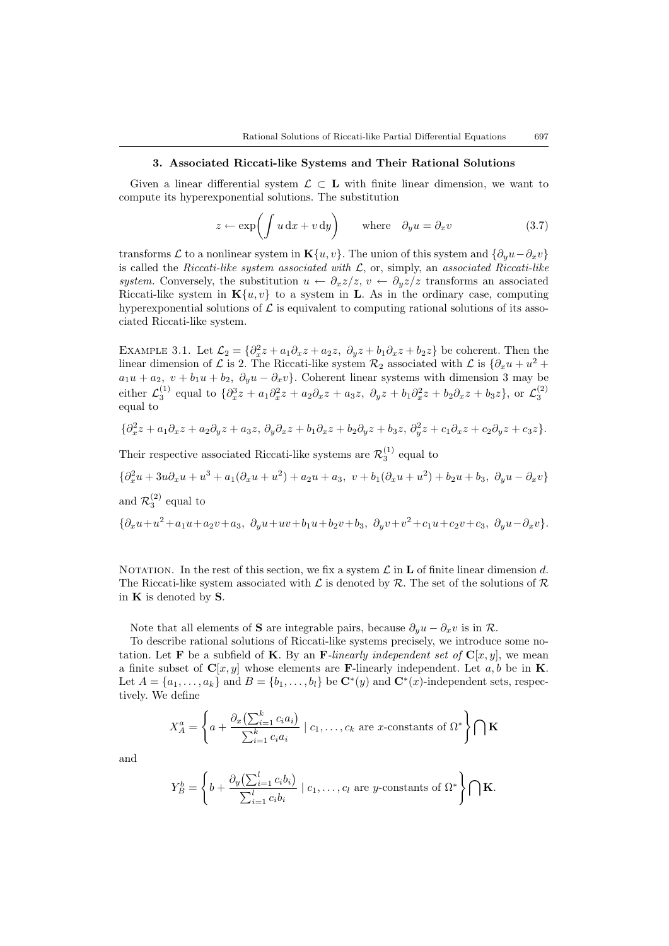#### 3. Associated Riccati-like Systems and Their Rational Solutions

<span id="page-6-1"></span>Given a linear differential system  $\mathcal{L} \subset \mathbf{L}$  with finite linear dimension, we want to compute its hyperexponential solutions. The substitution

<span id="page-6-2"></span><span id="page-6-0"></span>
$$
z \leftarrow \exp\left(\int u \, dx + v \, dy\right) \quad \text{where} \quad \partial_y u = \partial_x v \tag{3.7}
$$

transforms L to a nonlinear system in K{u, v}. The union of this system and  $\{\partial_u u - \partial_x v\}$ is called the Riccati-like system associated with  $\mathcal{L}$ , or, simply, an associated Riccati-like system. Conversely, the substitution  $u \leftarrow \partial_x z/z$ ,  $v \leftarrow \partial_y z/z$  transforms an associated Riccati-like system in  $\mathbf{K}\{u, v\}$  to a system in L. As in the ordinary case, computing hyperexponential solutions of  $\mathcal L$  is equivalent to computing rational solutions of its associated Riccati-like system.

EXAMPLE 3.1. Let  $\mathcal{L}_2 = \{\partial_x^2 z + a_1 \partial_x z + a_2 z, \ \partial_y z + b_1 \partial_x z + b_2 z\}$  be coherent. Then the linear dimension of L is 2. The Riccati-like system  $\mathcal{R}_2$  associated with L is  $\{\partial_x u + u^2 +$  $a_1u + a_2$ ,  $v + b_1u + b_2$ ,  $\partial_yu - \partial_xv$ . Coherent linear systems with dimension 3 may be either  $\mathcal{L}_3^{(1)}$  equal to  $\{\partial_x^3 z + a_1 \partial_x^2 z + a_2 \partial_x z + a_3 z, \ \partial_y z + b_1 \partial_x^2 z + b_2 \partial_x z + b_3 z\}$ , or  $\mathcal{L}_3^{(2)}$ equal to

$$
\{\partial_x^2 z + a_1 \partial_x z + a_2 \partial_y z + a_3 z, \ \partial_y \partial_x z + b_1 \partial_x z + b_2 \partial_y z + b_3 z, \ \partial_y^2 z + c_1 \partial_x z + c_2 \partial_y z + c_3 z\}.
$$

Their respective associated Riccati-like systems are  $\mathcal{R}_3^{(1)}$  equal to

$$
\{\partial_x^2 u + 3u\partial_x u + u^3 + a_1(\partial_x u + u^2) + a_2u + a_3, v + b_1(\partial_x u + u^2) + b_2u + b_3, \ \partial_y u - \partial_x v\}
$$
  
and  $\mathcal{R}_3^{(2)}$  equal to  

$$
\{\partial_x u + u^2 + a_1u + a_2v + a_3, \ \partial_y u + uv + b_1u + b_2v + b_3, \ \partial_y v + v^2 + c_1u + c_2v + c_3, \ \partial_y u - \partial_x v\}.
$$

NOTATION. In the rest of this section, we fix a system  $\mathcal L$  in **L** of finite linear dimension d. The Riccati-like system associated with  $\mathcal L$  is denoted by  $\mathcal R$ . The set of the solutions of  $\mathcal R$ in  $K$  is denoted by  $S$ .

Note that all elements of **S** are integrable pairs, because  $\partial_y u - \partial_x v$  is in R.

To describe rational solutions of Riccati-like systems precisely, we introduce some notation. Let **F** be a subfield of **K**. By an **F**-linearly independent set of  $\mathbf{C}[x, y]$ , we mean a finite subset of  $C[x, y]$  whose elements are **F**-linearly independent. Let a, b be in **K**. Let  $A = \{a_1, \ldots, a_k\}$  and  $B = \{b_1, \ldots, b_l\}$  be  $\mathbb{C}^*(y)$  and  $\mathbb{C}^*(x)$ -independent sets, respectively. We define

$$
X_A^a = \left\{ a + \frac{\partial_x \left( \sum_{i=1}^k c_i a_i \right)}{\sum_{i=1}^k c_i a_i} \mid c_1, \dots, c_k \text{ are } x \text{-constants of } \Omega^* \right\} \bigcap \mathbf{K}
$$

and

$$
Y_B^b = \left\{ b + \frac{\partial_y \left( \sum_{i=1}^l c_i b_i \right)}{\sum_{i=1}^l c_i b_i} \mid c_1, \dots, c_l \text{ are } y \text{-constants of } \Omega^* \right\} \bigcap \mathbf{K}.
$$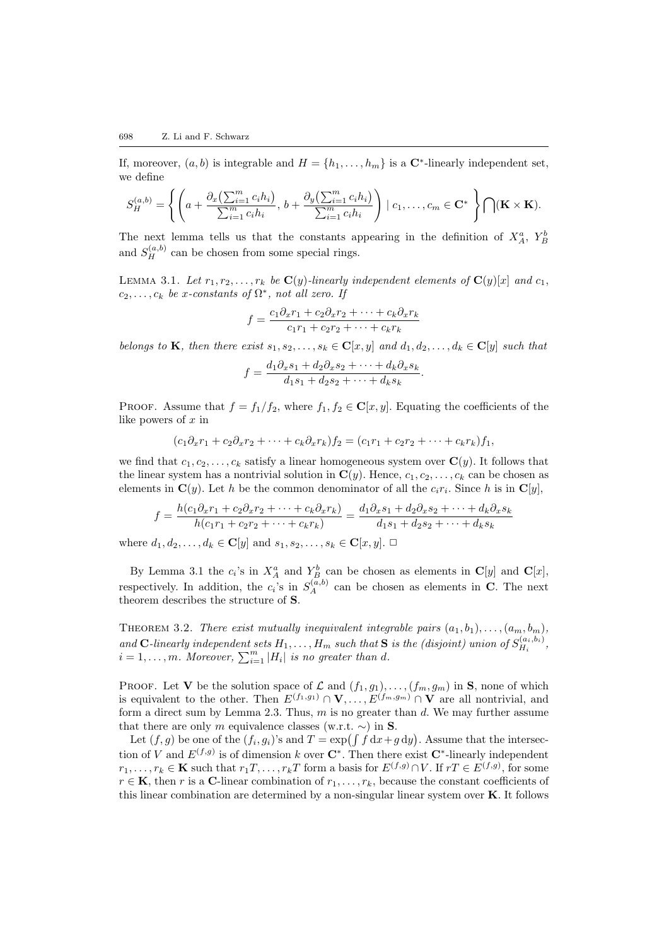If, moreover,  $(a, b)$  is integrable and  $H = \{h_1, \ldots, h_m\}$  is a  $\mathbb{C}^*$ -linearly independent set, we define

$$
S_H^{(a,b)} = \left\{ \left( a + \frac{\partial_x \left( \sum_{i=1}^m c_i h_i \right)}{\sum_{i=1}^m c_i h_i}, b + \frac{\partial_y \left( \sum_{i=1}^m c_i h_i \right)}{\sum_{i=1}^m c_i h_i} \right) \mid c_1, \ldots, c_m \in \mathbf{C}^* \right\} \bigcap (\mathbf{K} \times \mathbf{K}).
$$

The next lemma tells us that the constants appearing in the definition of  $X_A^a$ ,  $Y_B^b$ and  $S_H^{(a,b)}$  can be chosen from some special rings.

LEMMA 3.1. Let  $r_1, r_2, \ldots, r_k$  be  $\mathbf{C}(y)$ -linearly independent elements of  $\mathbf{C}(y)[x]$  and  $c_1$ ,  $c_2, \ldots, c_k$  be x-constants of  $\Omega^*$ , not all zero. If

<span id="page-7-0"></span>
$$
f = \frac{c_1 \partial_x r_1 + c_2 \partial_x r_2 + \dots + c_k \partial_x r_k}{c_1 r_1 + c_2 r_2 + \dots + c_k r_k}
$$

belongs to K, then there exist  $s_1, s_2, \ldots, s_k \in \mathbf{C}[x, y]$  and  $d_1, d_2, \ldots, d_k \in \mathbf{C}[y]$  such that

$$
f = \frac{d_1 \partial_x s_1 + d_2 \partial_x s_2 + \dots + d_k \partial_x s_k}{d_1 s_1 + d_2 s_2 + \dots + d_k s_k}.
$$

PROOF. Assume that  $f = f_1/f_2$ , where  $f_1, f_2 \in \mathbb{C}[x, y]$ . Equating the coefficients of the like powers of x in

$$
(c_1\partial_x r_1 + c_2\partial_x r_2 + \cdots + c_k\partial_x r_k)f_2 = (c_1r_1 + c_2r_2 + \cdots + c_kr_k)f_1,
$$

we find that  $c_1, c_2, \ldots, c_k$  satisfy a linear homogeneous system over  $\mathbf{C}(y)$ . It follows that the linear system has a nontrivial solution in  $\mathbf{C}(y)$ . Hence,  $c_1, c_2, \ldots, c_k$  can be chosen as elements in  $\mathbf{C}(y)$ . Let h be the common denominator of all the  $c_i r_i$ . Since h is in  $\mathbf{C}[y]$ ,

<span id="page-7-1"></span>
$$
f = \frac{h(c_1\partial_x r_1 + c_2\partial_x r_2 + \dots + c_k\partial_x r_k)}{h(c_1r_1 + c_2r_2 + \dots + c_kr_k)} = \frac{d_1\partial_x s_1 + d_2\partial_x s_2 + \dots + d_k\partial_x s_k}{d_1s_1 + d_2s_2 + \dots + d_ks_k}
$$

where  $d_1, d_2, \ldots, d_k \in \mathbf{C}[y]$  and  $s_1, s_2, \ldots, s_k \in \mathbf{C}[x, y]$ .  $\Box$ 

By Lemma [3.1](#page-7-0) the  $c_i$ 's in  $X^a_A$  and  $Y^b_B$  can be chosen as elements in  $\mathbf{C}[y]$  and  $\mathbf{C}[x]$ , respectively. In addition, the  $c_i$ 's in  $S_A^{(a,b)}$  can be chosen as elements in C. The next theorem describes the structure of S.

THEOREM 3.2. There exist mutually inequivalent integrable pairs  $(a_1, b_1), \ldots, (a_m, b_m)$ , and C-linearly independent sets  $H_1, \ldots, H_m$  such that S is the (disjoint) union of  $S_{H_i}^{(a_i,b_i)}$  $H_i^{(a_i, b_i)},$  $i = 1, \ldots, m$ . Moreover,  $\sum_{i=1}^{m} |H_i|$  is no greater than d.

PROOF. Let V be the solution space of  $\mathcal L$  and  $(f_1, g_1), \ldots, (f_m, g_m)$  in S, none of which is equivalent to the other. Then  $E^{(f_1,g_1)} \cap \mathbf{V}, \ldots, E^{(f_m,g_m)} \cap \mathbf{V}$  are all nontrivial, and form a direct sum by Lemma [2.3](#page-3-3). Thus,  $m$  is no greater than  $d$ . We may further assume that there are only m equivalence classes (w.r.t.  $\sim$ ) in S.

Let  $(f, g)$  be one of the  $(f_i, g_i)$ 's and  $T = \exp\left(\int f \, dx + g \, dy\right)$ . Assume that the intersection of V and  $E^{(f,g)}$  is of dimension k over  $\mathbb{C}^*$ . Then there exist  $\mathbb{C}^*$ -linearly independent  $r_1, \ldots, r_k \in \mathbf{K}$  such that  $r_1T, \ldots, r_kT$  form a basis for  $E^{(f,g)} \cap V$ . If  $rT \in E^{(f,g)}$ , for some  $r \in \mathbf{K}$ , then r is a C-linear combination of  $r_1, \ldots, r_k$ , because the constant coefficients of this linear combination are determined by a non-singular linear system over K. It follows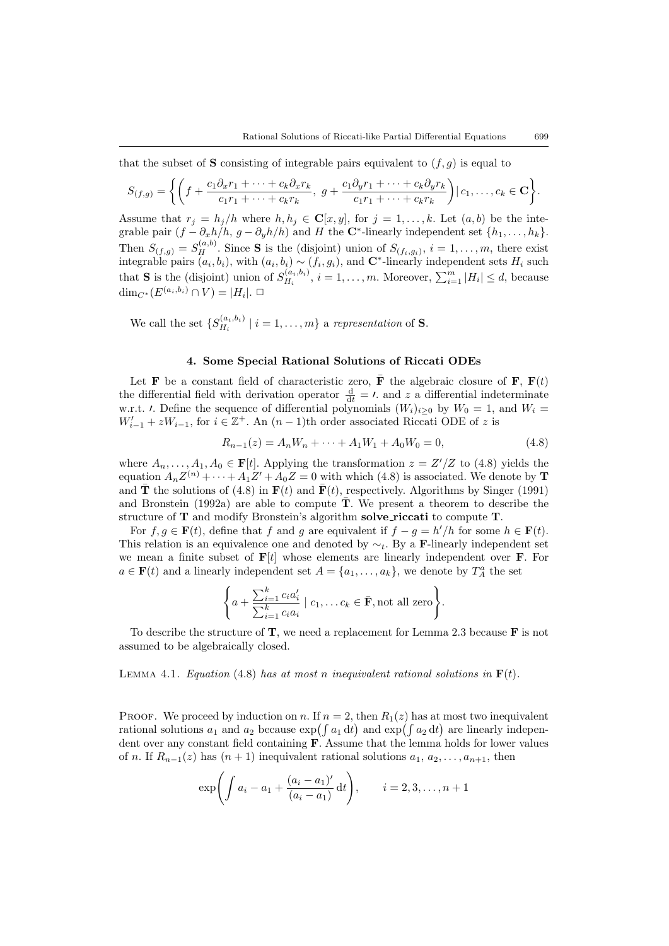that the subset of **S** consisting of integrable pairs equivalent to  $(f, q)$  is equal to

$$
S_{(f,g)} = \left\{ \left( f + \frac{c_1 \partial_x r_1 + \dots + c_k \partial_x r_k}{c_1 r_1 + \dots + c_k r_k}, \ g + \frac{c_1 \partial_y r_1 + \dots + c_k \partial_y r_k}{c_1 r_1 + \dots + c_k r_k} \right) \mid c_1, \dots, c_k \in \mathbf{C} \right\}.
$$

Assume that  $r_j = h_j/h$  where  $h, h_j \in \mathbf{C}[x, y]$ , for  $j = 1, \ldots, k$ . Let  $(a, b)$  be the integrable pair  $(f - \partial_x h/h, g - \partial_y h/h)$  and H the C<sup>\*</sup>-linearly independent set  $\{h_1, \ldots, h_k\}$ . Then  $S_{(f,g)} = S_H^{(a,b)}$ . Since **S** is the (disjoint) union of  $S_{(f_i,g_i)}$ ,  $i = 1,\ldots,m$ , there exist integrable pairs  $(a_i, b_i)$ , with  $(a_i, b_i) \sim (f_i, g_i)$ , and C<sup>\*</sup>-linearly independent sets  $H_i$  such that **S** is the (disjoint) union of  $S_{H_i}^{(a_i,b_i)}$  $H_i^{(a_i,b_i)}, i = 1,\ldots,m.$  Moreover,  $\sum_{i=1}^m |H_i| \leq d$ , because  $\dim_{C^*}(E^{(a_i,b_i)} \cap V) = |H_i|. \ \Box$ 

We call the set  $\{S_{H_i}^{(a_i,b_i)}\}$  $\prod_{H_i}^{(a_i,b_i)}$  |  $i = 1, \ldots, m$ } a representation of **S**.

# 4. Some Special Rational Solutions of Riccati ODEs

<span id="page-8-0"></span>Let **F** be a constant field of characteristic zero, **F** the algebraic closure of **F**,  $\mathbf{F}(t)$ the differential field with derivation operator  $\frac{d}{dt} = t$  and z a differential indeterminate w.r.t.  $\ell$ . Define the sequence of differential polynomials  $(W_i)_{i\geq 0}$  by  $W_0 = 1$ , and  $W_i =$  $W'_{i-1} + zW_{i-1}$ , for  $i \in \mathbb{Z}^+$ . An  $(n-1)$ th order associated Riccati ODE of z is

<span id="page-8-1"></span>
$$
R_{n-1}(z) = A_n W_n + \dots + A_1 W_1 + A_0 W_0 = 0,
$$
\n(4.8)

where $A_n, \ldots, A_1, A_0 \in \mathbf{F}[t]$ . Applying the transformation  $z = \frac{Z'}{Z}$  to ([4.8\)](#page-8-1) yields the equation  $A_n Z^{(n)} + \cdots + A_1 Z' + A_0 Z = 0$  with which [\(4.8](#page-8-1)) is associated. We denote by **T** and $\overline{\mathbf{T}}$  the solutions of ([4.8](#page-8-1)) in  $\mathbf{F}(t)$  and  $\overline{\mathbf{F}}(t)$ , respectively. Algorithms by [Singer](#page-25-1) ([1991\)](#page-25-1) and [Bronstein](#page-25-19) [\(1992a](#page-25-19)) are able to compute  $\overline{T}$ . We present a theorem to describe the structure of T and modify Bronstein's algorithm solve riccati to compute T.

For  $f, g \in \mathbf{F}(t)$ , define that f and g are equivalent if  $f - g = h'/h$  for some  $h \in \mathbf{F}(t)$ . This relation is an equivalence one and denoted by  $\sim_t$ . By a F-linearly independent set we mean a finite subset of  $F[t]$  whose elements are linearly independent over **F**. For  $a \in \mathbf{F}(t)$  and a linearly independent set  $A = \{a_1, \ldots, a_k\}$ , we denote by  $T_A^a$  the set

<span id="page-8-2"></span>
$$
\left\{a + \frac{\sum_{i=1}^{k} c_i a'_i}{\sum_{i=1}^{k} c_i a_i} \mid c_1, \ldots c_k \in \overline{\mathbf{F}}, \text{not all zero}\right\}.
$$

To describe the structure of  $T$ , we need a replacement for Lemma [2.3](#page-3-3) because  $\bf{F}$  is not assumed to be algebraically closed.

LEMMA 4.1. Equation ([4.8](#page-8-1)) has at most n inequivalent rational solutions in  $F(t)$ .

PROOF. We proceed by induction on n. If  $n = 2$ , then  $R_1(z)$  has at most two inequivalent rational solutions  $a_1$  and  $a_2$  because  $\exp(\int a_1 dt)$  and  $\exp(\int a_2 dt)$  are linearly independent over any constant field containing F. Assume that the lemma holds for lower values of n. If  $R_{n-1}(z)$  has  $(n+1)$  inequivalent rational solutions  $a_1, a_2, \ldots, a_{n+1}$ , then

$$
\exp\left(\int a_i - a_1 + \frac{(a_i - a_1)'}{(a_i - a_1)} dt\right), \qquad i = 2, 3, ..., n + 1
$$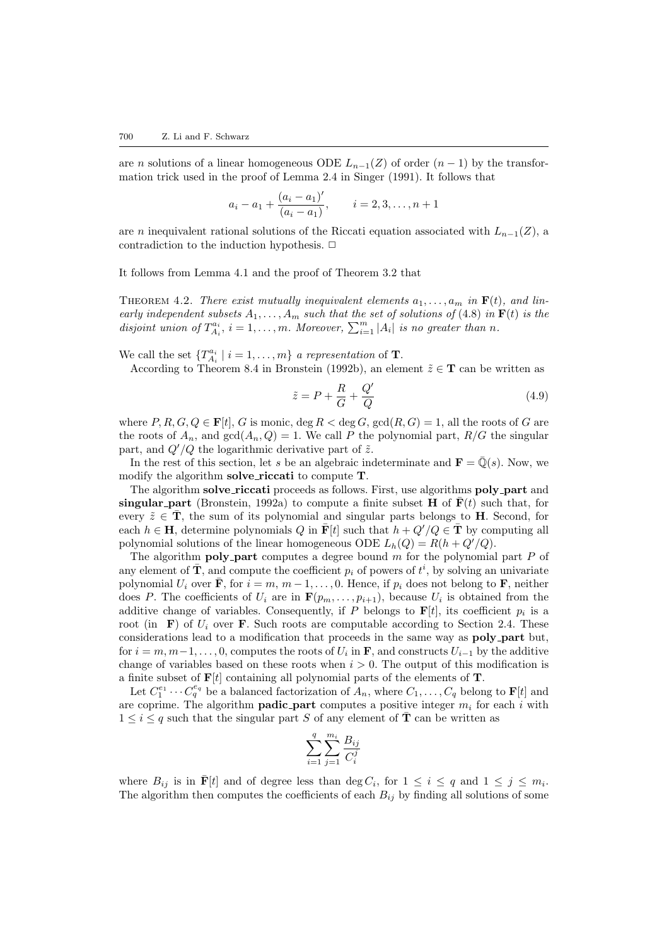are n solutions of a linear homogeneous ODE  $L_{n-1}(Z)$  of order  $(n-1)$  by the transformation trick used in the proof of Lemma 2.4 in [Singer](#page-25-1) [\(1991](#page-25-1)). It follows that

$$
a_i - a_1 + \frac{(a_i - a_1)^i}{(a_i - a_1)}, \qquad i = 2, 3, \dots, n+1
$$

are n inequivalent rational solutions of the Riccati equation associated with  $L_{n-1}(Z)$ , a contradiction to the induction hypothesis.  $\Box$ 

It follows from Lemma [4.1](#page-8-2) and the proof of Theorem [3.2](#page-7-1) that

THEOREM 4.2. There exist mutually inequivalent elements  $a_1, \ldots, a_m$  in  $\mathbf{F}(t)$ , and linearly independent subsets  $A_1, \ldots, A_m$  such that the set of solutions of ([4.8](#page-8-1)) in  $F(t)$  is the disjoint union of  $T_{A_i}^{a_i}$ ,  $i = 1, ..., m$ . Moreover,  $\sum_{i=1}^{m} |A_i|$  is no greater than n.

We call the set  ${T_{A_i}^{a_i} | i = 1, ..., m}$  a representation of **T**.

According to Theorem 8.4 in [Bronstein](#page-25-20) [\(1992b\)](#page-25-20), an element  $\tilde{z} \in \mathbf{T}$  can be written as

<span id="page-9-0"></span>
$$
\tilde{z} = P + \frac{R}{G} + \frac{Q'}{Q} \tag{4.9}
$$

where  $P, R, G, Q \in \mathbf{F}[t], G$  is monic,  $\deg R < \deg G$ ,  $\gcd(R, G) = 1$ , all the roots of G are the roots of  $A_n$ , and  $gcd(A_n, Q) = 1$ . We call P the polynomial part,  $R/G$  the singular part, and  $Q'/Q$  the logarithmic derivative part of  $\tilde{z}$ .

In the rest of this section, let s be an algebraic indeterminate and  $\mathbf{F} = \overline{\mathbb{Q}}(s)$ . Now, we modify the algorithm **solve\_riccati** to compute **T**.

The algorithm solve\_riccati proceeds as follows. First, use algorithms poly\_part and singular part ([Bronstein,](#page-25-19) [1992a](#page-25-19)) to compute a finite subset H of  $F(t)$  such that, for every  $\tilde{z} \in \mathbf{T}$ , the sum of its polynomial and singular parts belongs to **H**. Second, for each  $h \in H$ , determine polynomials Q in  $\mathbf{F}[t]$  such that  $h + Q'/Q \in \mathbf{T}$  by computing all polynomial solutions of the linear homogeneous ODE  $L_h(Q) = R(h + Q'/Q)$ .

The algorithm **poly-part** computes a degree bound  $m$  for the polynomial part  $P$  of any element of  $\overline{T}$ , and compute the coefficient  $p_i$  of powers of  $t^i$ , by solving an univariate polynomial  $U_i$  over  $\bar{\mathbf{F}}$ , for  $i = m, m - 1, \dots, 0$ . Hence, if  $p_i$  does not belong to  $\mathbf{F}$ , neither does P. The coefficients of  $U_i$  are in  $\mathbf{F}(p_m,\ldots,p_{i+1})$ , because  $U_i$  is obtained from the additive change of variables. Consequently, if P belongs to  $F[t]$ , its coefficient  $p_i$  is a root (in F) of  $U_i$  over F. Such roots are computable according to Section [2.4](#page-4-1). These considerations lead to a modification that proceeds in the same way as **poly\_part** but, for  $i = m, m-1, \ldots, 0$ , computes the roots of  $U_i$  in **F**, and constructs  $U_{i-1}$  by the additive change of variables based on these roots when  $i > 0$ . The output of this modification is a finite subset of  $F[t]$  containing all polynomial parts of the elements of **T**.

Let  $C_1^{e_1} \cdots C_q^{e_q}$  be a balanced factorization of  $A_n$ , where  $C_1, \ldots, C_q$  belong to  $\mathbf{F}[t]$  and are coprime. The algorithm **padic part** computes a positive integer  $m_i$  for each i with  $1 \leq i \leq q$  such that the singular part S of any element of  $\overline{T}$  can be written as

$$
\sum_{i=1}^{q} \sum_{j=1}^{m_i} \frac{B_{ij}}{C_i^j}
$$

where  $B_{ij}$  is in  $\bar{\mathbf{F}}[t]$  and of degree less than  $\deg C_i$ , for  $1 \leq i \leq q$  and  $1 \leq j \leq m_i$ . The algorithm then computes the coefficients of each  $B_{ij}$  by finding all solutions of some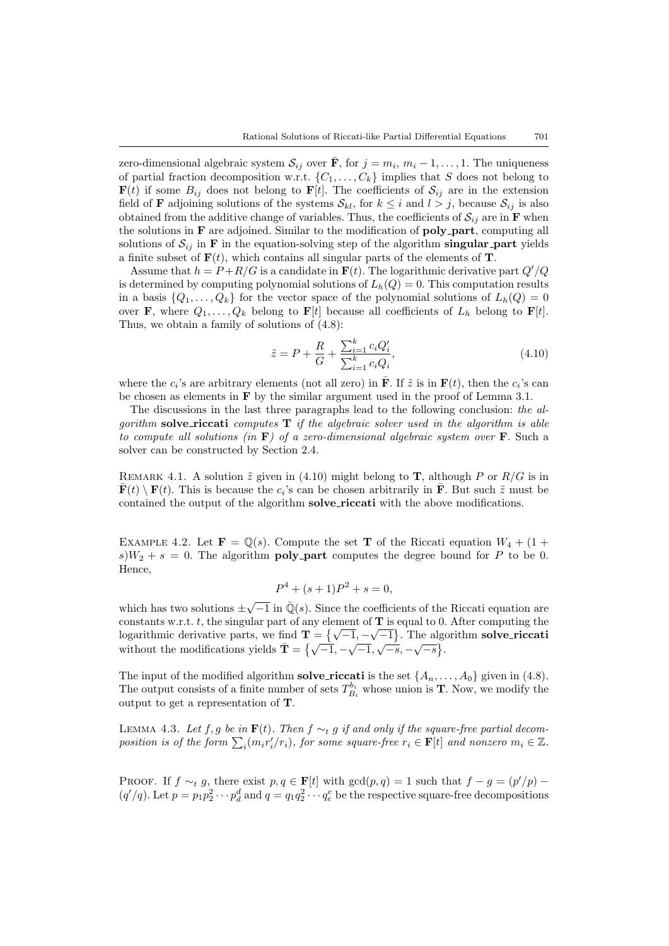zero-dimensional algebraic system  $\mathcal{S}_{ij}$  over  $\bar{\mathbf{F}}$ , for  $j = m_i, m_i - 1, \dots, 1$ . The uniqueness of partial fraction decomposition w.r.t.  $\{C_1, \ldots, C_k\}$  implies that S does not belong to  $\mathbf{F}(t)$  if some  $B_{ij}$  does not belong to  $\mathbf{F}[t]$ . The coefficients of  $\mathcal{S}_{ij}$  are in the extension field of **F** adjoining solutions of the systems  $S_{kl}$ , for  $k \leq i$  and  $l > j$ , because  $S_{ij}$  is also obtained from the additive change of variables. Thus, the coefficients of  $\mathcal{S}_{ij}$  are in **F** when the solutions in  $\bf{F}$  are adjoined. Similar to the modification of **poly\_part**, computing all solutions of  $S_{ij}$  in **F** in the equation-solving step of the algorithm **singular-part** yields a finite subset of  $F(t)$ , which contains all singular parts of the elements of T.

Assume that  $h = P + R/G$  is a candidate in  $F(t)$ . The logarithmic derivative part  $Q'/Q$ is determined by computing polynomial solutions of  $L_h(Q) = 0$ . This computation results in a basis  $\{Q_1, \ldots, Q_k\}$  for the vector space of the polynomial solutions of  $L_h(Q) = 0$ over **F**, where  $Q_1, \ldots, Q_k$  belong to **F**[t] because all coefficients of  $L_h$  belong to **F**[t]. Thus, we obtain a family of solutions of [\(4.8](#page-8-1)):

<span id="page-10-0"></span>
$$
\tilde{z} = P + \frac{R}{G} + \frac{\sum_{i=1}^{k} c_i Q_i'}{\sum_{i=1}^{k} c_i Q_i'},\tag{4.10}
$$

where the  $c_i$ 's are arbitrary elements (not all zero) in  $\overline{F}$ . If  $\tilde{z}$  is in  $F(t)$ , then the  $c_i$ 's can be chosen as elements in  $\bf{F}$  by the similar argument used in the proof of Lemma [3.1.](#page-7-0)

The discussions in the last three paragraphs lead to the following conclusion: the algorithm solve\_riccati computes  $T$  if the algebraic solver used in the algorithm is able to compute all solutions (in  $\bf{F}$ ) of a zero-dimensional algebraic system over  $\bf{F}$ . Such a solver can be constructed by Section [2.4](#page-4-1).

REMARK4.1. A solution  $\tilde{z}$  given in ([4.10\)](#page-10-0) might belong to **T**, although P or  $R/G$  is in  $\bar{\mathbf{F}}(t) \setminus \mathbf{F}(t)$ . This is because the  $c_i$ 's can be chosen arbitrarily in  $\bar{\mathbf{F}}$ . But such  $\tilde{z}$  must be contained the output of the algorithm **solve\_riccati** with the above modifications.

EXAMPLE 4.2. Let  $\mathbf{F} = \mathbb{Q}(s)$ . Compute the set **T** of the Riccati equation  $W_4 + (1 +$  $s)W_2 + s = 0$ . The algorithm **poly-part** computes the degree bound for P to be 0. Hence,

<span id="page-10-1"></span>
$$
P^4 + (s+1)P^2 + s = 0,
$$

which has two solutions  $\pm \sqrt{-1}$  in  $\overline{\mathbb{Q}}(s)$ . Since the coefficients of the Riccati equation are constants w.r.t. t, the singular part of any element of  $\mathbf{T}$  is equal to 0. After computing the constants w.r.t. t, the singular part of any element of T is equal to 0. After computing the logarithmic derivative parts, we find  $\mathbf{T} = \{\sqrt{-1}, -\sqrt{-1}\}$ . The algorithm **solve\_riccati** logarithmic derivative parts, we find  $\mathbf{T} = \{ \sqrt{-1}, -\sqrt{-1} \}$ . The algebra without the modifications yields  $\mathbf{T} = \{ \sqrt{-1}, -\sqrt{-1}, \sqrt{-s}, -\sqrt{-s} \}$ .

The input of the modified algorithm **solve riccati** is the set  $\{A_n, \ldots, A_0\}$  given in [\(4.8\)](#page-8-1). The output consists of a finite number of sets  $T_{B_i}^{b_i}$  whose union is **T**. Now, we modify the output to get a representation of T.

LEMMA 4.3. Let f, g be in  $\mathbf{F}(t)$ . Then  $f \sim_t g$  if and only if the square-free partial decomposition is of the form  $\sum_i (m_i r'_i/r_i)$ , for some square-free  $r_i \in \mathbf{F}[t]$  and nonzero  $m_i \in \mathbb{Z}$ .

PROOF. If  $f \sim_t g$ , there exist  $p, q \in \mathbf{F}[t]$  with  $\gcd(p, q) = 1$  such that  $f - g = (p'/p) (q'/q)$ . Let  $p = p_1 p_2^2 \cdots p_d^d$  and  $q = q_1 q_2^2 \cdots q_e^e$  be the respective square-free decompositions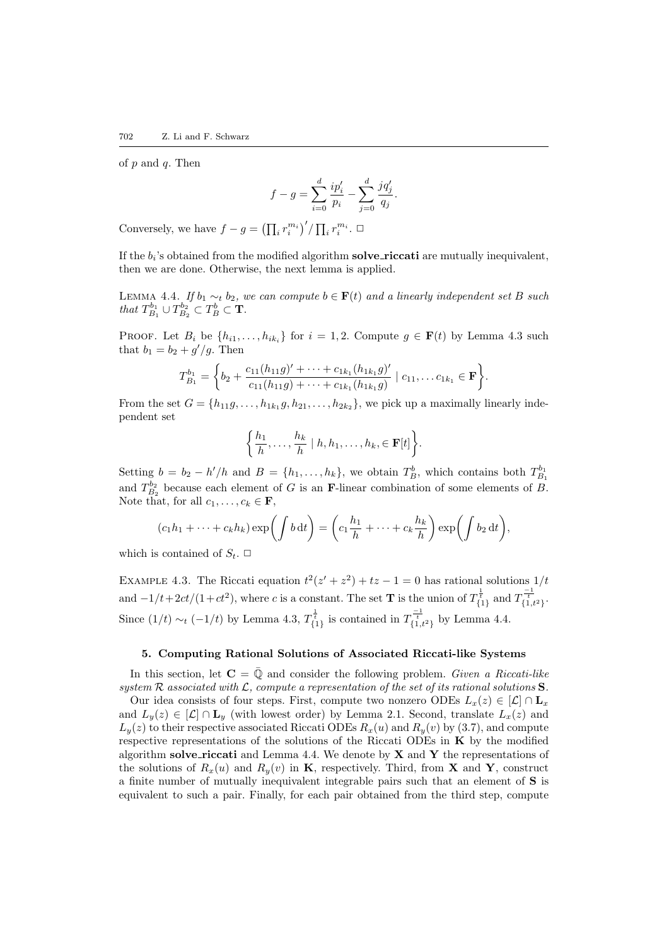of  $p$  and  $q$ . Then

<span id="page-11-1"></span>
$$
f-g=\sum_{i=0}^d\frac{ip_i'}{p_i}-\sum_{j=0}^d\frac{jq_j'}{q_j}.
$$

Conversely, we have  $f - g = \left(\prod_i r_i^{m_i}\right)'/\prod_i r_i^{m_i}$ .  $\Box$ 

If the  $b_i$ 's obtained from the modified algorithm solve riccati are mutually inequivalent, then we are done. Otherwise, the next lemma is applied.

LEMMA 4.4. If  $b_1 \sim_t b_2$ , we can compute  $b \in \mathbf{F}(t)$  and a linearly independent set B such that  $T_{B_1}^{b_1} \cup T_{B_2}^{b_2} \subset T_B^b \subset \mathbf{T}$ .

**PROOF.** Let  $B_i$  be  $\{h_{i1}, \ldots, h_{ik_i}\}\$  for  $i = 1, 2$ . Compute  $g \in \mathbf{F}(t)$  by Lemma [4.3](#page-10-1) such that  $b_1 = b_2 + g'/g$ . Then

$$
T_{B_1}^{b_1} = \left\{ b_2 + \frac{c_{11}(h_{11}g)' + \cdots + c_{1k_1}(h_{1k_1}g)'}{c_{11}(h_{11}g) + \cdots + c_{1k_1}(h_{1k_1}g)} \mid c_{11}, \ldots c_{1k_1} \in \mathbf{F} \right\}.
$$

From the set  $G = \{h_{11}g, \ldots, h_{1k_1}g, h_{21}, \ldots, h_{2k_2}\}\$ , we pick up a maximally linearly independent set

$$
\left\{\frac{h_1}{h},\ldots,\frac{h_k}{h} \mid h,h_1,\ldots,h_k, \in \mathbf{F}[t]\right\}.
$$

Setting  $b = b_2 - h'/h$  and  $B = \{h_1, \ldots, h_k\}$ , we obtain  $T_B^b$ , which contains both  $T_{B_1}^{b_1}$ and  $T_{B_2}^{b_2}$  because each element of G is an **F**-linear combination of some elements of B. Note that, for all  $c_1, \ldots, c_k \in \mathbf{F}$ ,

$$
(c_1h_1 + \dots + c_kh_k)\exp\left(\int b\,dt\right) = \left(c_1\frac{h_1}{h} + \dots + c_k\frac{h_k}{h}\right)\exp\left(\int b_2\,dt\right),
$$

which is contained of  $S_t$ .  $\Box$ 

EXAMPLE 4.3. The Riccati equation  $t^2(z'+z^2) + tz - 1 = 0$  has rational solutions  $1/t$ and  $-1/t+2ct/(1+ct^2)$ , where c is a constant. The set **T** is the union of  $T^{\frac{1}{t}}_{\{1\}}$  and  $T^{\frac{-1}{t}}_{\{1,t^2\}}$ . Since  $(1/t) \sim_t (-1/t)$  by Lemma [4.3](#page-10-1),  $T^{\frac{1}{t}}_{\{1\}}$  is contained in  $T^{\frac{-1}{t}}_{\{1,t^2\}}$  by Lemma [4.4](#page-11-1).

## 5. Computing Rational Solutions of Associated Riccati-like Systems

<span id="page-11-0"></span>In this section, let  $\mathbf{C} = \overline{\mathbb{Q}}$  and consider the following problem. Given a Riccati-like system  $R$  associated with  $\mathcal{L}$ , compute a representation of the set of its rational solutions  $S$ .

Our idea consists of four steps. First, compute two nonzero ODEs  $L_x(z) \in [\mathcal{L}] \cap \mathbf{L}_x$ and  $L_y(z) \in [\mathcal{L}] \cap L_y$  (with lowest order) by Lemma [2.1](#page-2-1). Second, translate  $L_x(z)$  and  $L_y(z)$  to their respective associated Riccati ODEs  $R_x(u)$  and  $R_y(v)$  by [\(3.7\)](#page-6-2), and compute respective representations of the solutions of the Riccati ODEs in  $\bf{K}$  by the modified algorithm solve riccati and Lemma [4.4.](#page-11-1) We denote by  $X$  and  $Y$  the representations of the solutions of  $R_x(u)$  and  $R_y(v)$  in **K**, respectively. Third, from **X** and **Y**, construct a finite number of mutually inequivalent integrable pairs such that an element of S is equivalent to such a pair. Finally, for each pair obtained from the third step, compute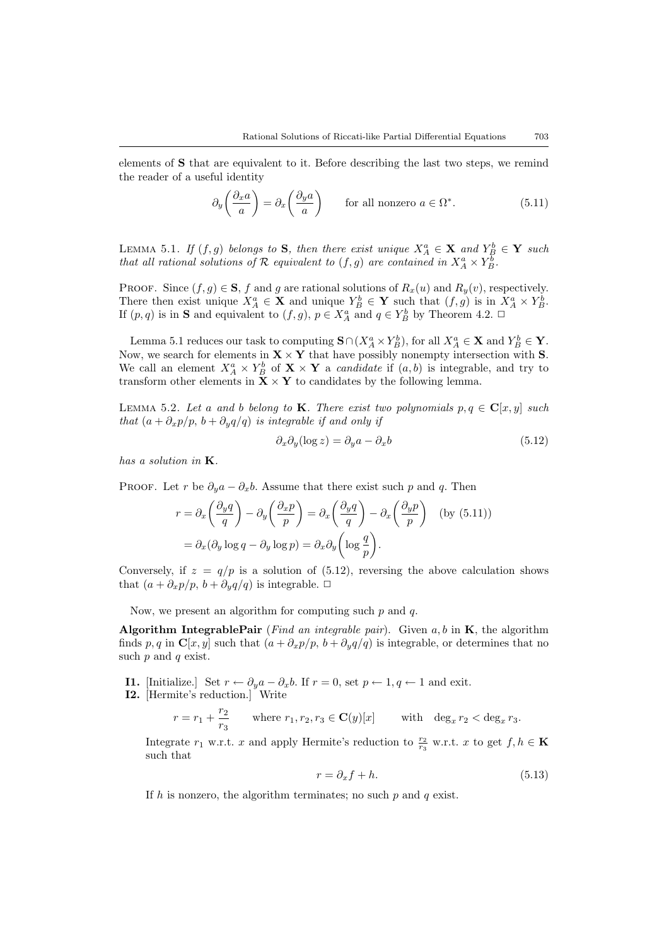elements of S that are equivalent to it. Before describing the last two steps, we remind the reader of a useful identity

<span id="page-12-4"></span>
$$
\partial_y \left( \frac{\partial_x a}{a} \right) = \partial_x \left( \frac{\partial_y a}{a} \right) \qquad \text{for all nonzero } a \in \Omega^*.
$$
 (5.11)

<span id="page-12-0"></span>LEMMA 5.1. If  $(f,g)$  belongs to S, then there exist unique  $X_A^a \in \mathbf{X}$  and  $Y_B^b \in \mathbf{Y}$  such that all rational solutions of R equivalent to  $(f, g)$  are contained in  $X_A^a \times Y_B^{\overline{b}}$ .

PROOF. Since  $(f, g) \in \mathbf{S}$ , f and g are rational solutions of  $R_x(u)$  and  $R_y(v)$ , respectively. There then exist unique  $X_A^a \in \mathbf{X}$  and unique  $Y_B^b \in \mathbf{Y}$  such that  $(f, g)$  is in  $X_A^a \times Y_B^b$ . If  $(p, q)$  is in **S** and equivalent to  $(f, g)$ ,  $p \in X_A^a$  and  $q \in Y_B^b$  by Theorem [4.2](#page-9-0).  $\Box$ 

Lemma [5.1](#page-12-0) reduces our task to computing  $\mathbf{S} \cap (X_A^a \times Y_B^b)$ , for all  $X_A^a \in \mathbf{X}$  and  $Y_B^b \in \mathbf{Y}$ . Now, we search for elements in  $X \times Y$  that have possibly nonempty intersection with S. We call an element  $X_A^a \times Y_B^b$  of  $\mathbf{X} \times \mathbf{Y}$  a *candidate* if  $(a, b)$  is integrable, and try to transform other elements in  $\bar{\mathbf{X}} \times \mathbf{Y}$  to candidates by the following lemma.

LEMMA 5.2. Let a and b belong to K. There exist two polynomials  $p, q \in \mathbb{C}[x, y]$  such that  $(a + \partial_x p/p, b + \partial_y q/q)$  is integrable if and only if

<span id="page-12-2"></span><span id="page-12-1"></span>
$$
\partial_x \partial_y (\log z) = \partial_y a - \partial_x b \tag{5.12}
$$

has a solution in K.

PROOF. Let r be  $\partial_y a - \partial_x b$ . Assume that there exist such p and q. Then

$$
r = \partial_x \left(\frac{\partial_y q}{q}\right) - \partial_y \left(\frac{\partial_x p}{p}\right) = \partial_x \left(\frac{\partial_y q}{q}\right) - \partial_x \left(\frac{\partial_y p}{p}\right) \quad \text{(by (5.11))}
$$

$$
= \partial_x (\partial_y \log q - \partial_y \log p) = \partial_x \partial_y \left(\log \frac{q}{p}\right).
$$

Conversely, if  $z = q/p$  is a solution of [\(5.12\)](#page-12-1), reversing the above calculation shows that  $(a + \partial_x p/p, b + \partial_y q/q)$  is integrable.  $\Box$ 

Now, we present an algorithm for computing such  $p$  and  $q$ .

Algorithm IntegrablePair (Find an integrable pair). Given  $a, b$  in  $K$ , the algorithm finds p, q in C[x, y] such that  $(a + \partial_x p/p, b + \partial_y q/q)$  is integrable, or determines that no such  $p$  and  $q$  exist.

- **I1.** [Initialize.] Set  $r \leftarrow \partial_y a \partial_x b$ . If  $r = 0$ , set  $p \leftarrow 1, q \leftarrow 1$  and exit.
- I2. [Hermite's reduction.] Write

$$
r = r_1 + \frac{r_2}{r_3} \quad \text{where } r_1, r_2, r_3 \in \mathbf{C}(y)[x] \quad \text{with } \deg_x r_2 < \deg_x r_3.
$$

Integrate  $r_1$  w.r.t. x and apply Hermite's reduction to  $\frac{r_2}{r_3}$  w.r.t. x to get  $f, h \in \mathbf{K}$ such that

<span id="page-12-3"></span>
$$
r = \partial_x f + h. \tag{5.13}
$$

If h is nonzero, the algorithm terminates; no such  $p$  and  $q$  exist.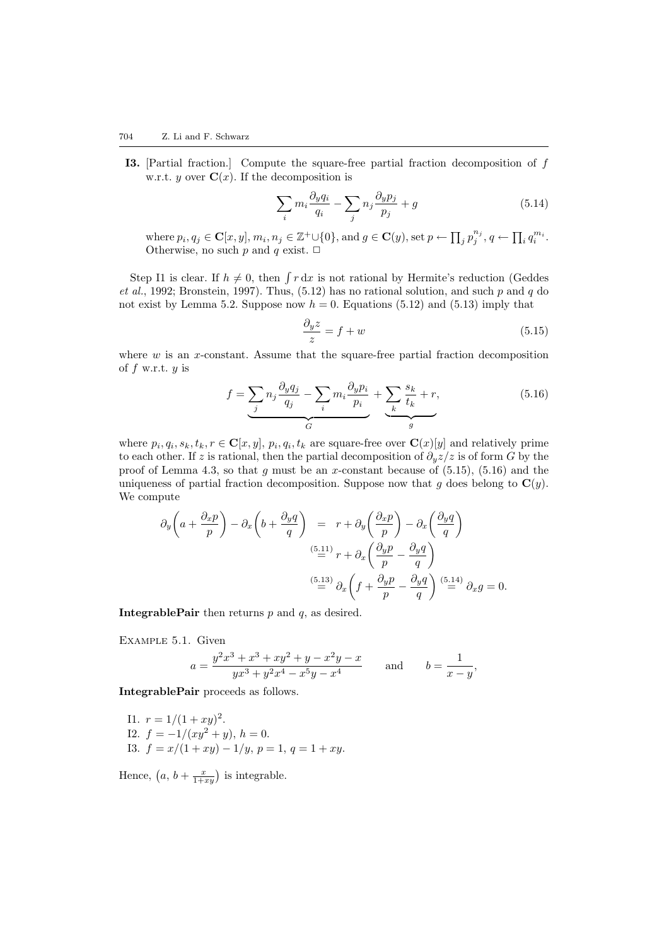I3. [Partial fraction.] Compute the square-free partial fraction decomposition of f w.r.t. y over  $\mathbf{C}(x)$ . If the decomposition is

$$
\sum_{i} m_i \frac{\partial_y q_i}{q_i} - \sum_j n_j \frac{\partial_y p_j}{p_j} + g \tag{5.14}
$$

where  $p_i, q_j \in \mathbf{C}[x, y], m_i, n_j \in \mathbb{Z}^+\cup\{0\}$ , and  $g \in \mathbf{C}(y)$ , set  $p \leftarrow \prod_j p_j^{n_j}, q \leftarrow \prod_i q_i^{m_i}$ . Otherwise, no such  $p$  and  $q$  exist.  $\Box$ 

StepI1 is clear. If  $h \neq 0$ , then  $\int r dx$  is not rational by Hermite's reduction ([Geddes](#page-25-21) [et al.](#page-25-21), [1992;](#page-25-21) [Bronstein](#page-25-22), [1997](#page-25-22)).Thus,  $(5.12)$  $(5.12)$  $(5.12)$  has no rational solution, and such p and q do not exist by Lemma [5.2](#page-12-2). Suppose now  $h = 0$ . Equations [\(5.12\)](#page-12-1) and [\(5.13](#page-12-3)) imply that

<span id="page-13-1"></span><span id="page-13-0"></span>
$$
\frac{\partial_y z}{z} = f + w \tag{5.15}
$$

where  $w$  is an  $x$ -constant. Assume that the square-free partial fraction decomposition of  $f$  w.r.t.  $y$  is

$$
f = \underbrace{\sum_{j} n_j \frac{\partial_y q_j}{q_j} - \sum_{i} m_i \frac{\partial_y p_i}{p_i}}_{G} + \underbrace{\sum_{k} \frac{s_k}{t_k} + r}_{g},\tag{5.16}
$$

where  $p_i, q_i, s_k, t_k, r \in \mathbf{C}[x, y], p_i, q_i, t_k$  are square-free over  $\mathbf{C}(x)[y]$  and relatively prime to each other. If z is rational, then the partial decomposition of  $\partial_y z/z$  is of form G by the proof of Lemma [4.3,](#page-10-1)so that g must be an x-constant because of  $(5.15)$  $(5.15)$  $(5.15)$ ,  $(5.16)$  $(5.16)$  $(5.16)$  and the uniqueness of partial fraction decomposition. Suppose now that g does belong to  $\mathbf{C}(y)$ . We compute

$$
\partial_y \left( a + \frac{\partial_x p}{p} \right) - \partial_x \left( b + \frac{\partial_y q}{q} \right) = r + \partial_y \left( \frac{\partial_x p}{p} \right) - \partial_x \left( \frac{\partial_y q}{q} \right)
$$
  

$$
\stackrel{(5.11)}{=} r + \partial_x \left( \frac{\partial_y p}{p} - \frac{\partial_y q}{q} \right)
$$
  

$$
\stackrel{(5.13)}{=} \partial_x \left( f + \frac{\partial_y p}{p} - \frac{\partial_y q}{q} \right) \stackrel{(5.14)}{=} \partial_x g = 0.
$$

**IntegrablePair** then returns  $p$  and  $q$ , as desired.

Example 5.1. Given

<span id="page-13-2"></span>
$$
a = \frac{y^2x^3 + x^3 + xy^2 + y - x^2y - x}{yx^3 + y^2x^4 - x^5y - x^4} \quad \text{and} \quad b = \frac{1}{x - y},
$$

IntegrablePair proceeds as follows.

I1.  $r = 1/(1 + xy)^2$ . I2.  $f = -1/(xy^2 + y), h = 0.$ I3.  $f = x/(1 + xy) - 1/y$ ,  $p = 1$ ,  $q = 1 + xy$ .

Hence,  $(a, b + \frac{x}{1+xy})$  is integrable.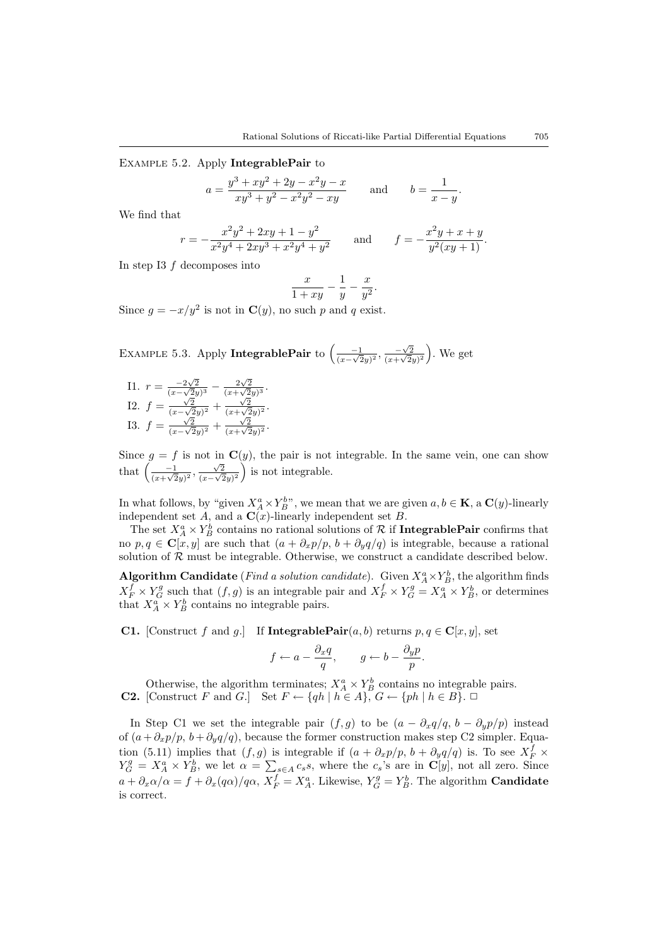Example 5.2. Apply IntegrablePair to

$$
a = \frac{y^3 + xy^2 + 2y - x^2y - x}{xy^3 + y^2 - x^2y^2 - xy}
$$
 and 
$$
b = \frac{1}{x - y}.
$$

We find that

$$
r = -\frac{x^2y^2 + 2xy + 1 - y^2}{x^2y^4 + 2xy^3 + x^2y^4 + y^2}
$$
 and 
$$
f = -\frac{x^2y + x + y}{y^2(xy + 1)}.
$$

In step I3 f decomposes into

$$
\frac{x}{1+xy} - \frac{1}{y} - \frac{x}{y^2}.
$$

Since  $g = -x/y^2$  is not in  $\mathbf{C}(y)$ , no such p and q exist.

<span id="page-14-0"></span>EXAMPLE 5.3. Apply IntegrablePair to  $\left( \frac{-1}{\sqrt{2}} \right)$  $\frac{-1}{(x-\sqrt{2}y)^2}, \frac{-\sqrt{2}}{(x+\sqrt{2}y)^2}$  $\frac{-\sqrt{2}}{(x+\sqrt{2}y)^2}$ . We get

I1. 
$$
r = \frac{-2\sqrt{2}}{(x-\sqrt{2}y)^3} - \frac{2\sqrt{2}}{(x+\sqrt{2}y)^3}
$$
.  
\nI2.  $f = \frac{\sqrt{2}}{(x-\sqrt{2}y)^2} + \frac{\sqrt{2}}{(x+\sqrt{2}y)^2}$ .  
\nI3.  $f = \frac{\sqrt{2}}{(x-\sqrt{2}y)^2} + \frac{\sqrt{2}}{(x+\sqrt{2}y)^2}$ .

Since  $g = f$  is not in  $\mathbf{C}(y)$ , the pair is not integrable. In the same vein, one can show that  $\left( \frac{-1}{\sqrt{2}} \right)$  $\frac{-1}{(x+\sqrt{2}y)^2}$  $\frac{\sqrt{2}}{(x-\sqrt{2}y)^2}$  is not integrable.

In what follows, by "given  $X_A^a \times Y_B^b$ ", we mean that we are given  $a, b \in \mathbf{K}$ , a  $\mathbf{C}(y)$ -linearly independent set  $A$ , and a  $\mathbf{C}(x)$ -linearly independent set  $B$ .

The set  $X_A^a \times Y_B^b$  contains no rational solutions of R if IntegrablePair confirms that no  $p, q \in \mathbf{C}[x, y]$  are such that  $(a + \partial_x p/p, b + \partial_y q/q)$  is integrable, because a rational solution of  $R$  must be integrable. Otherwise, we construct a candidate described below.

Algorithm Candidate (*Find a solution candidate*). Given  $X_A^a \times Y_B^b$ , the algorithm finds  $X_F^f \times Y_G^g$  such that  $(f, g)$  is an integrable pair and  $X_F^f \times Y_G^g = X_A^a \times Y_B^b$ , or determines that  $X_A^a \times Y_B^b$  contains no integrable pairs.

**C1.** [Construct f and g.] If **IntegrablePair** $(a, b)$  returns  $p, q \in \mathbf{C}[x, y]$ , set

$$
f \leftarrow a - \frac{\partial_x q}{q}, \qquad g \leftarrow b - \frac{\partial_y p}{p}.
$$

Otherwise, the algorithm terminates;  $X_A^a \times Y_B^b$  contains no integrable pairs. **C2.** [Construct F and G.] Set  $F \leftarrow \{qh \mid h \in A\}$ ,  $G \leftarrow \{ph \mid h \in B\}$ .

In Step C1 we set the integrable pair  $(f, g)$  to be  $(a - \partial_x q/q, b - \partial_y p/p)$  instead of  $(a + \partial_x p/p, b + \partial_y q/q)$ , because the former construction makes step C2 simpler. Equa-tion [\(5.11](#page-12-4)) implies that  $(f, g)$  is integrable if  $(a + \partial_x p/p, b + \partial_y q/q)$  is. To see  $X_F^f$  ×  $Y_G^g = X_A^a \times Y_B^b$ , we let  $\alpha = \sum_{s \in A} c_s s$ , where the  $c_s$ 's are in  $\mathbb{C}[y]$ , not all zero. Since  $a + \partial_x \alpha/\alpha = f + \partial_x (q\alpha)/q\alpha$ ,  $X_F^f = X_A^a$ . Likewise,  $Y_G^g = Y_B^b$ . The algorithm **Candidate** is correct.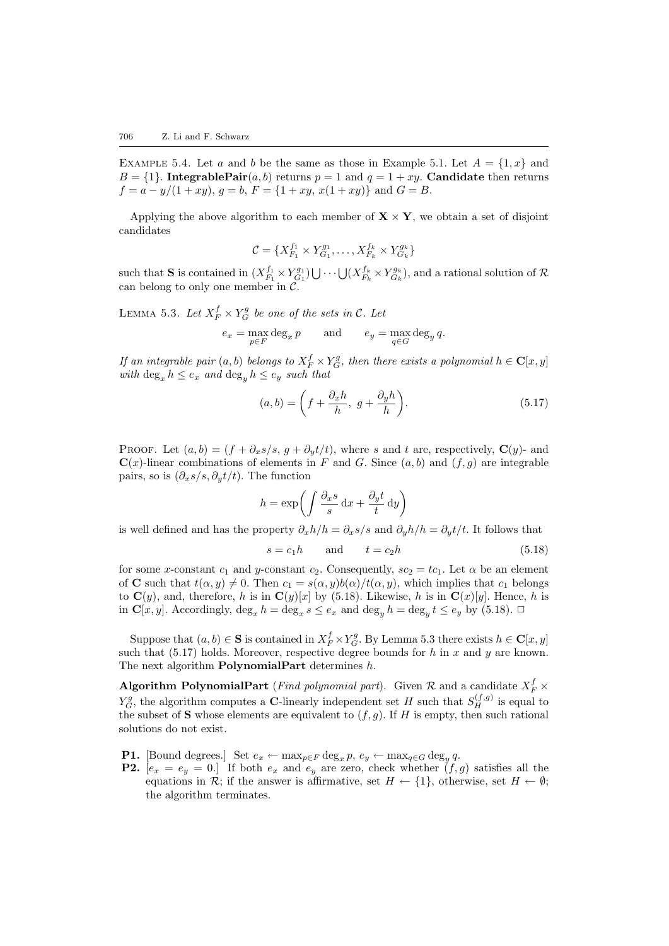EXAMPLE 5.4. Let a and b be the same as those in Example [5.1](#page-13-2). Let  $A = \{1, x\}$  and  $B = \{1\}$ . Integrable Pair $(a, b)$  returns  $p = 1$  and  $q = 1 + xy$ . Candidate then returns  $f = a - y/(1 + xy), g = b, F = \{1 + xy, x(1 + xy)\}\$ and  $G = B$ .

Applying the above algorithm to each member of  $X \times Y$ , we obtain a set of disjoint candidates

<span id="page-15-1"></span>
$$
\mathcal{C} = \{ X_{F_1}^{f_1} \times Y_{G_1}^{g_1}, \dots, X_{F_k}^{f_k} \times Y_{G_k}^{g_k} \}
$$

such that **S** is contained in  $(X_{F_1}^{f_1} \times Y_{G_1}^{g_1}) \bigcup \cdots \bigcup (X_{F_k}^{f_k} \times Y_{G_k}^{g_k})$ , and a rational solution of R can belong to only one member in  $\tilde{C}$ .

LEMMA 5.3. Let  $X_F^f \times Y_G^g$  be one of the sets in C. Let

$$
e_x = \max_{p \in F} \deg_x p \quad \text{and} \quad e_y = \max_{q \in G} \deg_y q.
$$

If an integrable pair  $(a, b)$  belongs to  $X_F^f \times Y_G^g$ , then there exists a polynomial  $h \in \mathbf{C}[x, y]$ with  $\deg_x h \leq e_x$  and  $\deg_u h \leq e_y$  such that

<span id="page-15-2"></span>
$$
(a,b) = \left(f + \frac{\partial_x h}{h}, \ g + \frac{\partial_y h}{h}\right). \tag{5.17}
$$

PROOF. Let  $(a, b) = (f + \partial_x s / s, g + \partial_y t / t)$ , where s and t are, respectively,  $\mathbf{C}(y)$ - and  $\mathbf{C}(x)$ -linear combinations of elements in F and G. Since  $(a, b)$  and  $(f, g)$  are integrable pairs, so is  $(\partial_x s/s, \partial_y t/t)$ . The function

$$
h = \exp\left(\int \frac{\partial_x s}{s} dx + \frac{\partial_y t}{t} dy\right)
$$

is well defined and has the property  $\partial_x h/h = \partial_x s/s$  and  $\partial_y h/h = \partial_y t/t$ . It follows that

<span id="page-15-0"></span>
$$
s = c_1 h \qquad \text{and} \qquad t = c_2 h \tag{5.18}
$$

for some x-constant  $c_1$  and y-constant  $c_2$ . Consequently,  $sc_2 = tc_1$ . Let  $\alpha$  be an element of **C** such that  $t(\alpha, y) \neq 0$ . Then  $c_1 = s(\alpha, y)b(\alpha)/t(\alpha, y)$ , which implies that  $c_1$  belongs to $\mathbf{C}(y)$ , and, therefore, h is in  $\mathbf{C}(y)[x]$  by ([5.18](#page-15-0)). Likewise, h is in  $\mathbf{C}(x)[y]$ . Hence, h is in  $\mathbf{C}[x, y]$ . Accordingly,  $\deg_x h = \deg_x s \le e_x$  and  $\deg_y h = \deg_y t \le e_y$  by [\(5.18](#page-15-0)).  $\Box$ 

Suppose that  $(a, b) \in \mathbf{S}$  is contained in  $X_F^f \times Y_G^g$ . By Lemma [5.3](#page-15-1) there exists  $h \in \mathbf{C}[x, y]$ such that  $(5.17)$  holds. Moreover, respective degree bounds for h in x and y are known. The next algorithm **PolynomialPart** determines h.

Algorithm PolynomialPart (*Find polynomial part*). Given  $\mathcal R$  and a candidate  $X_F^f$   $\times$  $Y_G^g$ , the algorithm computes a **C**-linearly independent set H such that  $S_H^{(f,g)}$  is equal to the subset of S whose elements are equivalent to  $(f, g)$ . If H is empty, then such rational solutions do not exist.

- **P1.** [Bound degrees.] Set  $e_x \leftarrow \max_{p \in F} \deg_x p, e_y \leftarrow \max_{q \in G} \deg_y q$ .
- **P2.**  $[e_x = e_y = 0]$  If both  $e_x$  and  $e_y$  are zero, check whether  $(f, g)$  satisfies all the equations in R; if the answer is affirmative, set  $H \leftarrow \{1\}$ , otherwise, set  $H \leftarrow \emptyset$ ; the algorithm terminates.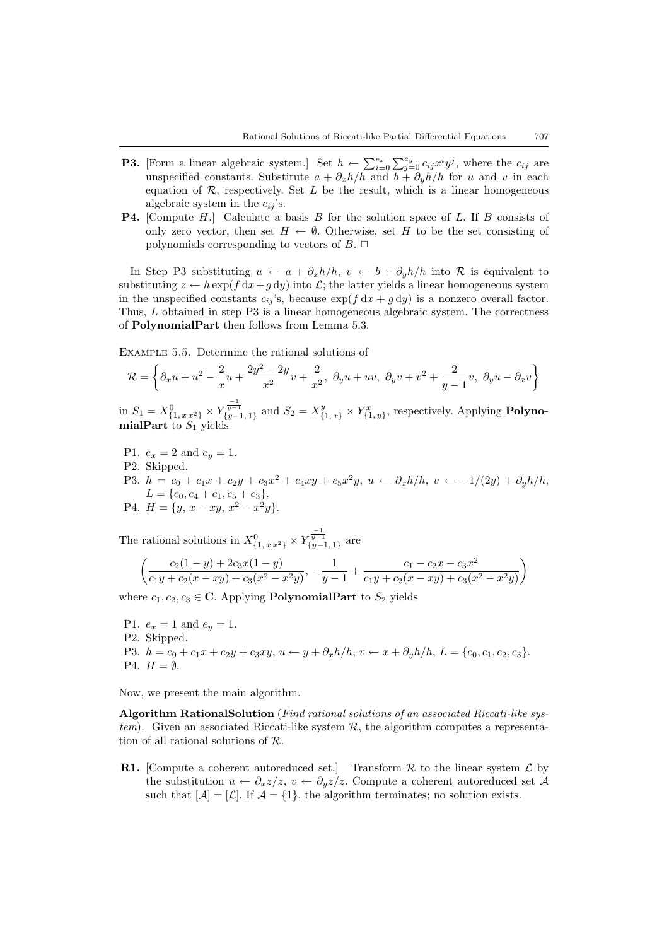- **P3.** [Form a linear algebraic system.] Set  $h \leftarrow \sum_{i=0}^{e_x} \sum_{j=0}^{e_y} c_{ij} x^i y^j$ , where the  $c_{ij}$  are unspecified constants. Substitute  $a + \partial_x h/h$  and  $b + \partial_y h/h$  for u and v in each equation of  $R$ , respectively. Set  $L$  be the result, which is a linear homogeneous algebraic system in the  $c_{ij}$ 's.
- P4. [Compute H.] Calculate a basis B for the solution space of L. If B consists of only zero vector, then set  $H \leftarrow \emptyset$ . Otherwise, set H to be the set consisting of polynomials corresponding to vectors of  $B$ .  $\Box$

In Step P3 substituting  $u \leftarrow a + \partial_x h/h$ ,  $v \leftarrow b + \partial_y h/h$  into R is equivalent to substituting  $z \leftarrow h \exp(f \, dx + g \, dy)$  into  $\mathcal{L}$ ; the latter yields a linear homogeneous system in the unspecified constants  $c_{ij}$ 's, because  $\exp(f dx + g dy)$  is a nonzero overall factor. Thus, L obtained in step P3 is a linear homogeneous algebraic system. The correctness of PolynomialPart then follows from Lemma [5.3](#page-15-1).

Example 5.5. Determine the rational solutions of

<span id="page-16-0"></span>
$$
\mathcal{R} = \left\{\partial_x u + u^2 - \frac{2}{x}u + \frac{2y^2 - 2y}{x^2}v + \frac{2}{x^2}, \ \partial_y u + uv, \ \partial_y v + v^2 + \frac{2}{y-1}v, \ \partial_y u - \partial_x v\right\}
$$

in  $S_1 = X^0_{\{1, x \cdot x^2\}} \times Y^{\frac{-1}{y-1}}_{\{y-1, 1\}}$  and  $S_2 = X^y_{\{1, x\}} \times Y^x_{\{1, y\}}$ , respectively. Applying **Polyno-** $\mathbf{mialPart}$  to  $S_1$  yields

P1.  $e_x = 2$  and  $e_y = 1$ . P2. Skipped. P3.  $h = c_0 + c_1x + c_2y + c_3x^2 + c_4xy + c_5x^2y, u \leftarrow \partial_x h/h, v \leftarrow -1/(2y) + \partial_y h/h,$  $L = \{c_0, c_4 + c_1, c_5 + c_3\}.$ P4.  $H = \{y, x - xy, x^2 - x^2y\}.$ 

The rational solutions in  $X_{\{1, x x^2\}}^0 \times Y_{\{y-1, 1\}}^{\frac{-1}{y-1}}$  are

$$
\left(\frac{c_2(1-y)+2c_3x(1-y)}{c_1y+c_2(x-xy)+c_3(x^2-x^2y)},-\frac{1}{y-1}+\frac{c_1-c_2x-c_3x^2}{c_1y+c_2(x-xy)+c_3(x^2-x^2y)}\right)
$$

where  $c_1, c_2, c_3 \in \mathbb{C}$ . Applying **PolynomialPart** to  $S_2$  yields

P1.  $e_x = 1$  and  $e_y = 1$ . P2. Skipped. P3.  $h = c_0 + c_1x + c_2y + c_3xy$ ,  $u \leftarrow y + \partial_x h/h$ ,  $v \leftarrow x + \partial_y h/h$ ,  $L = \{c_0, c_1, c_2, c_3\}$ . P4.  $H = \emptyset$ .

Now, we present the main algorithm.

Algorithm RationalSolution (Find rational solutions of an associated Riccati-like system). Given an associated Riccati-like system  $\mathcal{R}$ , the algorithm computes a representation of all rational solutions of R.

**R1.** [Compute a coherent autoreduced set.] Transform  $\mathcal R$  to the linear system  $\mathcal L$  by the substitution  $u \leftarrow \partial_x z/z$ ,  $v \leftarrow \partial_y z/z$ . Compute a coherent autoreduced set A such that  $[A] = [\mathcal{L}]$ . If  $\mathcal{A} = \{1\}$ , the algorithm terminates; no solution exists.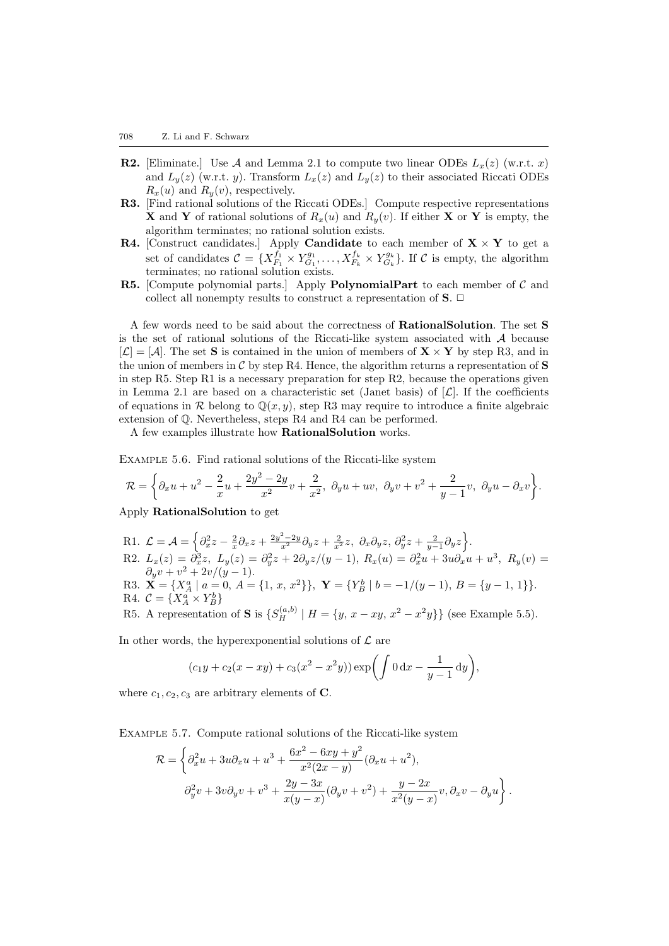- **R2.** [Eliminate.] Use A and Lemma [2.1](#page-2-1) to compute two linear ODEs  $L_x(z)$  (w.r.t. x) and  $L_y(z)$  (w.r.t. y). Transform  $L_x(z)$  and  $L_y(z)$  to their associated Riccati ODEs  $R_x(u)$  and  $R_y(v)$ , respectively.
- R3. [Find rational solutions of the Riccati ODEs.] Compute respective representations **X** and **Y** of rational solutions of  $R_x(u)$  and  $R_y(v)$ . If either **X** or **Y** is empty, the algorithm terminates; no rational solution exists.
- **R4.** [Construct candidates.] Apply **Candidate** to each member of  $X \times Y$  to get a set of candidates  $\mathcal{C} = \{X_{F_1}^{f_1} \times Y_{G_1}^{g_1}, \ldots, X_{F_k}^{f_k} \times Y_{G_k}^{g_k}\}.$  If  $\mathcal{C}$  is empty, the algorithm terminates; no rational solution exists.
- R5. [Compute polynomial parts.] Apply PolynomialPart to each member of  $C$  and collect all nonempty results to construct a representation of  $S$ .  $\Box$

A few words need to be said about the correctness of RationalSolution. The set S is the set of rational solutions of the Riccati-like system associated with  $A$  because  $[\mathcal{L}] = [\mathcal{A}]$ . The set **S** is contained in the union of members of  $\mathbf{X} \times \mathbf{Y}$  by step R3, and in the union of members in  $\mathcal C$  by step R4. Hence, the algorithm returns a representation of S in step R5. Step R1 is a necessary preparation for step  $R2$ , because the operations given in Lemma [2.1](#page-2-1) are based on a characteristic set (Janet basis) of  $[\mathcal{L}]$ . If the coefficients of equations in R belong to  $\mathbb{Q}(x, y)$ , step R3 may require to introduce a finite algebraic extension of Q. Nevertheless, steps R4 and R4 can be performed.

A few examples illustrate how RationalSolution works.

Example 5.6. Find rational solutions of the Riccati-like system

$$
\mathcal{R}=\bigg\{\partial_x u+u^2-\dfrac{2}{x}u+\dfrac{2y^2-2y}{x^2}v+\dfrac{2}{x^2},\,\,\partial_y u+uv,\,\,\partial_y v+v^2+\dfrac{2}{y-1}v,\,\,\partial_y u-\partial_x v\bigg\}.
$$

Apply RationalSolution to get

- R1.  $\mathcal{L} = \mathcal{A} = \left\{ \partial_x^2 z \frac{2}{x} \partial_x z + \frac{2y^2 2y}{x^2} \partial_y z + \frac{2}{x^2} z, \ \partial_x \partial_y z, \ \partial_y^2 z + \frac{2}{y-1} \partial_y z \right\}.$ R2.  $L_x(z) = \partial_x^3 z$ ,  $L_y(z) = \partial_y^2 z + 2\partial_y z/(y-1)$ ,  $R_x(u) = \partial_x^2 u + 3u \partial_x u + u^3$ ,  $R_y(v) =$  $\partial_y v + v^2 + 2v/(y-1).$
- R3.  $\mathbf{X} = \{X_A^a \mid a = 0, A = \{1, x, x^2\}\}, \ \mathbf{Y} = \{Y_B^b \mid b = -1/(y-1), B = \{y-1, 1\}\}.$ R4.  $\mathcal{C} = \{X_A^a \times Y_B^b\}$
- R5. A representation of **S** is  $\{S_H^{(a,b)} | H = \{y, x xy, x^2 x^2y\}\}\)$  (see Example [5.5](#page-16-0)).

In other words, the hyperexponential solutions of  $\mathcal L$  are

$$
(c_1y + c_2(x - xy) + c_3(x^2 - x^2y)) \exp\left(\int 0 dx - \frac{1}{y-1} dy\right),
$$

where  $c_1, c_2, c_3$  are arbitrary elements of C.

Example 5.7. Compute rational solutions of the Riccati-like system

$$
\mathcal{R} = \left\{\partial_x^2 u + 3u\partial_x u + u^3 + \frac{6x^2 - 6xy + y^2}{x^2(2x - y)}(\partial_x u + u^2),\right.
$$
  

$$
\partial_y^2 v + 3v\partial_y v + v^3 + \frac{2y - 3x}{x(y - x)}(\partial_y v + v^2) + \frac{y - 2x}{x^2(y - x)}v, \partial_x v - \partial_y u\right\}.
$$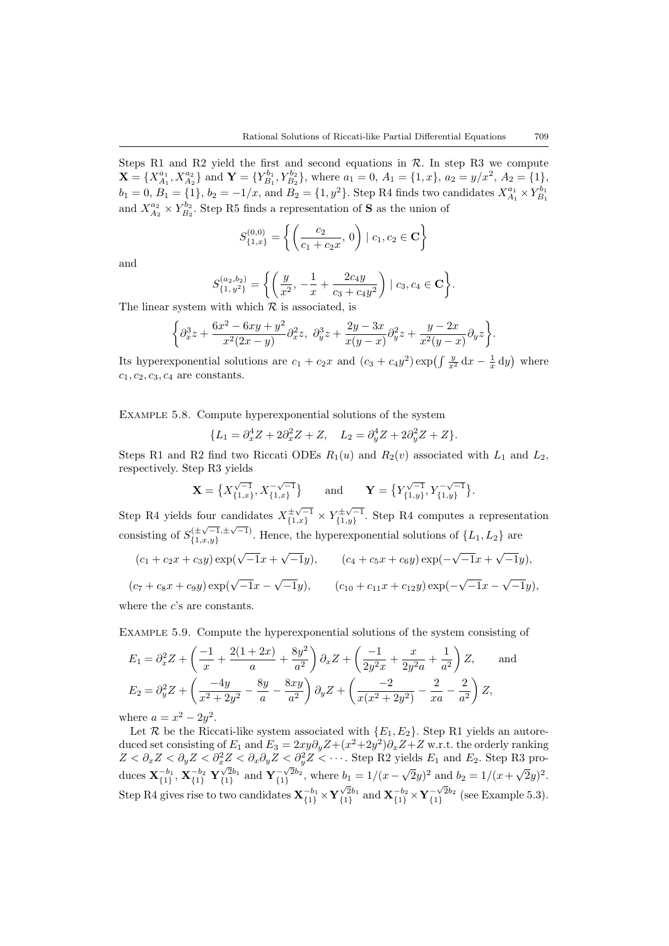Steps R1 and R2 yield the first and second equations in  $\mathcal{R}$ . In step R3 we compute  $\mathbf{X} = \{X_{A_1}^{a_1}, X_{A_2}^{a_2}\}\$ and  $\mathbf{Y} = \{Y_{B_1}^{b_1}, Y_{B_2}^{b_2}\}\$ , where  $a_1 = 0, A_1 = \{1, x\}, a_2 = y/x^2, A_2 = \{1\},\$  $b_1 = 0, B_1 = \{1\}, b_2 = -1/x$ , and  $B_2 = \{1, y^2\}$ . Step R4 finds two candidates  $X_{A_1}^{a_1} \times Y_{B_1}^{b_1}$ and  $X_{A_2}^{a_2} \times Y_{B_2}^{b_2}$ . Step R5 finds a representation of **S** as the union of

$$
S_{\{1,x\}}^{(0,0)} = \left\{ \left( \frac{c_2}{c_1 + c_2 x}, 0 \right) \mid c_1, c_2 \in \mathbf{C} \right\}
$$

and

$$
S_{\{1, y^2\}}^{(a_2, b_2)} = \left\{ \left( \frac{y}{x^2}, -\frac{1}{x} + \frac{2c_4y}{c_3 + c_4y^2} \right) \mid c_3, c_4 \in \mathbf{C} \right\}.
$$

The linear system with which  $R$  is associated, is

$$
\left\{\partial_x^3z+\frac{6x^2-6xy+y^2}{x^2(2x-y)}\partial_x^2z,\ \partial_y^3z+\frac{2y-3x}{x(y-x)}\partial_y^2z+\frac{y-2x}{x^2(y-x)}\partial_yz\right\}.
$$

Its hyperexponential solutions are  $c_1 + c_2x$  and  $(c_3 + c_4y^2) \exp\left(\int \frac{y}{x^2} dx - \frac{1}{x} dy\right)$  where  $c_1, c_2, c_3, c_4$  are constants.

Example 5.8. Compute hyperexponential solutions of the system

$$
\{L_1=\partial_x^4 Z+2\partial_x^2 Z+Z,\quad L_2=\partial_y^4 Z+2\partial_y^2 Z+Z\}.
$$

Steps R1 and R2 find two Riccati ODEs  $R_1(u)$  and  $R_2(v)$  associated with  $L_1$  and  $L_2$ , respectively. Step R3 yields

$$
\mathbf{X} = \left\{ X_{\{1,x\}}^{\sqrt{-1}}, X_{\{1,x\}}^{-\sqrt{-1}} \right\} \quad \text{and} \quad \mathbf{Y} = \left\{ Y_{\{1,y\}}^{\sqrt{-1}}, Y_{\{1,y\}}^{-\sqrt{-1}} \right\}.
$$

Step R4 yields four candidates  $X_{\{1,x\}}^{\pm\sqrt{-1}} \times Y_{\{1,y\}}^{\pm\sqrt{-1}}$ our candidates  $X_{\{1,x\}}^{\pm \sqrt{-1}} \times Y_{\{1,y\}}^{\pm \sqrt{-1}}$ . Step R4 computes a representation consisting of  $S_{f_1, r, u}^{(\pm \sqrt{-1}, \pm \sqrt{-1})}$  $\{\pm\sqrt{-1}, \pm\sqrt{-1}\}$ . Hence, the hyperexponential solutions of  $\{L_1, L_2\}$  are √ √ √

$$
(c_1 + c_2x + c_3y) \exp(\sqrt{-1}x + \sqrt{-1}y), \qquad (c_4 + c_5x + c_6y) \exp(-\sqrt{-1}x + \sqrt{-1}y),
$$
  

$$
(c_7 + c_8x + c_9y) \exp(\sqrt{-1}x - \sqrt{-1}y), \qquad (c_{10} + c_{11}x + c_{12}y) \exp(-\sqrt{-1}x - \sqrt{-1}y),
$$

where the  $c$ 's are constants.

Example 5.9. Compute the hyperexponential solutions of the system consisting of

$$
E_1 = \partial_x^2 Z + \left(\frac{-1}{x} + \frac{2(1+2x)}{a} + \frac{8y^2}{a^2}\right) \partial_x Z + \left(\frac{-1}{2y^2 x} + \frac{x}{2y^2 a} + \frac{1}{a^2}\right) Z, \text{ and}
$$
  
\n
$$
E_2 = \partial_y^2 Z + \left(\frac{-4y}{x^2 + 2y^2} - \frac{8y}{a} - \frac{8xy}{a^2}\right) \partial_y Z + \left(\frac{-2}{x(x^2 + 2y^2)} - \frac{2}{xa} - \frac{2}{a^2}\right) Z,
$$
  
\nhere  $a = x^2 - 2y^2$ .

where  $a = x$  $2^2-2y$ 

Let R be the Riccati-like system associated with  $\{E_1, E_2\}$ . Step R1 yields an autoreduced set consisting of  $E_1$  and  $E_3 = 2xy\partial_y Z + (x^2 + 2y^2)\partial_x Z + Z$  w.r.t. the orderly ranking  $Z < \partial_x Z < \partial_y Z < \partial_x^2 Z < \partial_x \partial_y Z < \partial_y^2 Z < \cdots$ . Step R2 yields  $E_1$  and  $E_2$ . Step R3 produces  $\mathbf{X}_{\{1\}}^{-b_1}, \mathbf{X}_{\{1\}}^{-b_2} \mathbf{Y}_{\{1\}}^{\sqrt{2}b_1}$  and  $\mathbf{Y}_{\{1\}}^{-\sqrt{2}b_2}$ , where  $b_1 = 1/(x - \sqrt{2}y)^2$  and  $b_2 = 1/(x + \sqrt{2}y)^2$ . Step R4 gives rise to two candidates  $\mathbf{X}_{\{1\}}^{-b_1} \times \mathbf{Y}_{\{1\}}^{\sqrt{2}b_1}$  and  $\mathbf{X}_{\{1\}}^{-b_2} \times \mathbf{Y}_{\{1\}}^{-\sqrt{2}b_2}$  (see Example [5.3\)](#page-14-0).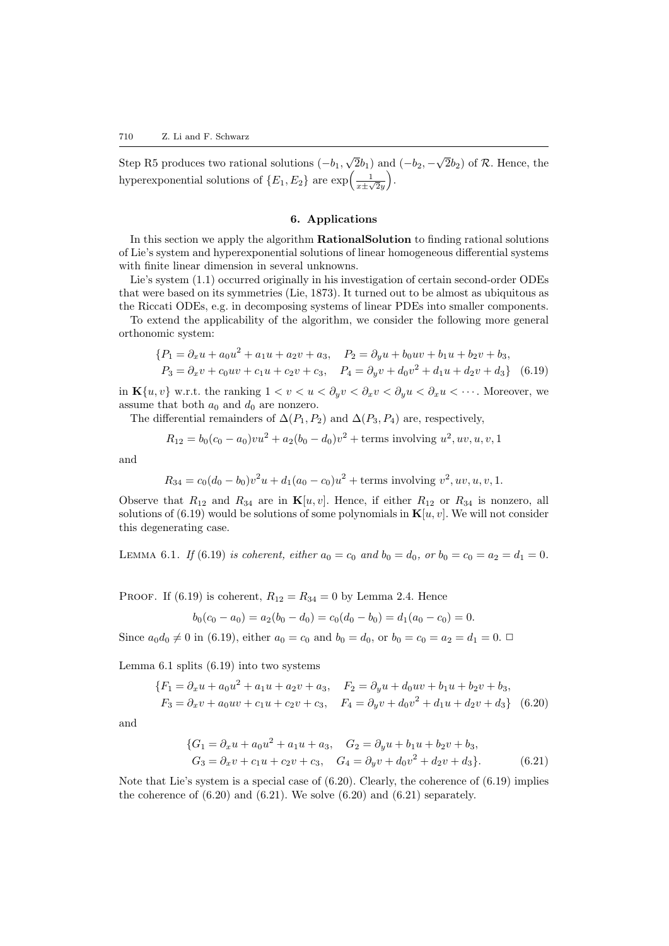Step R5 produces two rational solutions  $(-b_1,$ √  $\overline{2}b_1$ ) and  $(-b_2, -$ √  $\overline{2}b_2$ ) of R. Hence, the hyperexponential solutions of  $\{E_1, E_2\}$  are  $\exp\left(\frac{1}{x \pm \sqrt{2}y}\right)$ .

# 6. Applications

<span id="page-19-0"></span>In this section we apply the algorithm RationalSolution to finding rational solutions of Lie's system and hyperexponential solutions of linear homogeneous differential systems with finite linear dimension in several unknowns.

Lie's system([1.1\)](#page-0-0) occurred originally in his investigation of certain second-order ODEs that were based on its symmetries([Lie](#page-25-23), [1873](#page-25-23)). It turned out to be almost as ubiquitous as the Riccati ODEs, e.g. in decomposing systems of linear PDEs into smaller components.

To extend the applicability of the algorithm, we consider the following more general orthonomic system:

<span id="page-19-1"></span>
$$
\begin{aligned} \{P_1 &= \partial_x u + a_0 u^2 + a_1 u + a_2 v + a_3, & P_2 &= \partial_y u + b_0 u v + b_1 u + b_2 v + b_3, \\ P_3 &= \partial_x v + c_0 u v + c_1 u + c_2 v + c_3, & P_4 &= \partial_y v + d_0 v^2 + d_1 u + d_2 v + d_3\} \end{aligned} \tag{6.19}
$$

in  $\mathbf{K}\{u, v\}$  w.r.t. the ranking  $1 < v < u < \partial_u v < \partial_x v < \partial_y u < \partial_x u < \cdots$ . Moreover, we assume that both  $a_0$  and  $d_0$  are nonzero.

The differential remainders of  $\Delta(P_1, P_2)$  and  $\Delta(P_3, P_4)$  are, respectively,

$$
R_{12} = b_0(c_0 - a_0)v^2 + a_2(b_0 - d_0)v^2 + \text{terms involving } u^2, uv, u, v, 1
$$

and

$$
R_{34} = c_0(d_0 - b_0)v^2u + d_1(a_0 - c_0)u^2 + \text{terms involving } v^2, uv, u, v, 1.
$$

Observe that  $R_{12}$  and  $R_{34}$  are in  $\mathbf{K}[u, v]$ . Hence, if either  $R_{12}$  or  $R_{34}$  is nonzero, all solutions of [\(6.19\)](#page-19-1) would be solutions of some polynomials in  ${\bf K}[u, v]$ . We will not consider this degenerating case.

LEMMA 6.1. If [\(6.19](#page-19-1)) is coherent, either  $a_0 = c_0$  and  $b_0 = d_0$ , or  $b_0 = c_0 = a_2 = d_1 = 0$ .

PROOF. If  $(6.19)$  is coherent,  $R_{12} = R_{34} = 0$  by Lemma [2.4.](#page-4-2) Hence

<span id="page-19-2"></span>
$$
b_0(c_0 - a_0) = a_2(b_0 - d_0) = c_0(d_0 - b_0) = d_1(a_0 - c_0) = 0.
$$

Since  $a_0d_0 \neq 0$  in [\(6.19](#page-19-1)), either  $a_0 = c_0$  and  $b_0 = d_0$ , or  $b_0 = c_0 = a_2 = d_1 = 0$ .

Lemma [6.1](#page-19-2) splits [\(6.19](#page-19-1)) into two systems

<span id="page-19-3"></span>
$$
\{F_1 = \partial_x u + a_0 u^2 + a_1 u + a_2 v + a_3, \quad F_2 = \partial_y u + d_0 u v + b_1 u + b_2 v + b_3, F_3 = \partial_x v + a_0 u v + c_1 u + c_2 v + c_3, \quad F_4 = \partial_y v + d_0 v^2 + d_1 u + d_2 v + d_3\}
$$
(6.20)

and

<span id="page-19-4"></span>
$$
\{G_1 = \partial_x u + a_0 u^2 + a_1 u + a_3, \quad G_2 = \partial_y u + b_1 u + b_2 v + b_3, G_3 = \partial_x v + c_1 u + c_2 v + c_3, \quad G_4 = \partial_y v + d_0 v^2 + d_2 v + d_3\}.
$$
 (6.21)

Notethat Lie's system is a special case of  $(6.20)$  $(6.20)$  $(6.20)$ . Clearly, the coherence of  $(6.19)$  implies thecoherence of  $(6.20)$  $(6.20)$  $(6.20)$  and  $(6.21)$  $(6.21)$ . We solve  $(6.20)$  $(6.20)$  and  $(6.21)$  separately.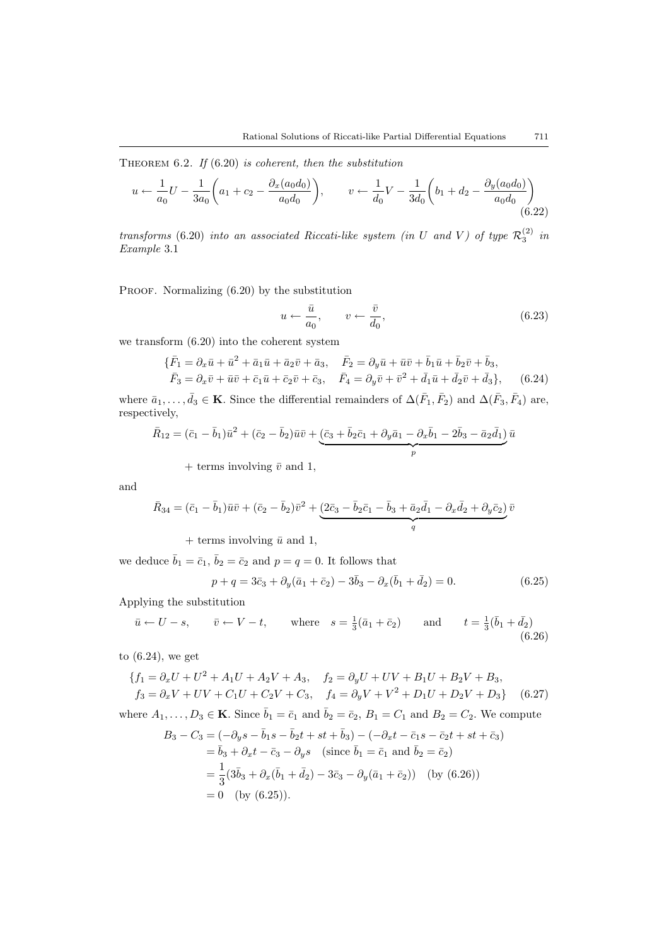THEOREM 6.2. If  $(6.20)$  is coherent, then the substitution

$$
u \leftarrow \frac{1}{a_0}U - \frac{1}{3a_0} \left( a_1 + c_2 - \frac{\partial_x(a_0 d_0)}{a_0 d_0} \right), \qquad v \leftarrow \frac{1}{d_0}V - \frac{1}{3d_0} \left( b_1 + d_2 - \frac{\partial_y(a_0 d_0)}{a_0 d_0} \right)
$$
(6.22)

transforms [\(6.20](#page-19-3)) into an associated Riccati-like system (in U and V) of type  $\mathcal{R}_3^{(2)}$  in Example [3.1](#page-6-0)

PROOF. Normalizing  $(6.20)$  by the substitution

<span id="page-20-2"></span><span id="page-20-1"></span>
$$
u \leftarrow \frac{\bar{u}}{a_0}, \qquad v \leftarrow \frac{\bar{v}}{d_0}, \tag{6.23}
$$

we transform [\(6.20\)](#page-19-3) into the coherent system

<span id="page-20-0"></span>
$$
\{\bar{F}_1 = \partial_x \bar{u} + \bar{u}^2 + \bar{a}_1 \bar{u} + \bar{a}_2 \bar{v} + \bar{a}_3, \quad \bar{F}_2 = \partial_y \bar{u} + \bar{u} \bar{v} + \bar{b}_1 \bar{u} + \bar{b}_2 \bar{v} + \bar{b}_3, \n\bar{F}_3 = \partial_x \bar{v} + \bar{u} \bar{v} + \bar{c}_1 \bar{u} + \bar{c}_2 \bar{v} + \bar{c}_3, \quad \bar{F}_4 = \partial_y \bar{v} + \bar{v}^2 + \bar{d}_1 \bar{u} + \bar{d}_2 \bar{v} + \bar{d}_3\},
$$
\n(6.24)

where  $\bar{a}_1, \ldots, \bar{d}_3 \in \mathbf{K}$ . Since the differential remainders of  $\Delta(\bar{F}_1, \bar{F}_2)$  and  $\Delta(\bar{F}_3, \bar{F}_4)$  are, respectively,

$$
\bar{R}_{12} = (\bar{c}_1 - \bar{b}_1)\bar{u}^2 + (\bar{c}_2 - \bar{b}_2)\bar{u}\bar{v} + (\underline{\bar{c}_3 + \bar{b}_2\bar{c}_1 + \partial_y\bar{a}_1 - \partial_x\bar{b}_1 - 2\bar{b}_3 - \bar{a}_2\bar{d}_1)\bar{u}
$$

+ terms involving  $\bar{v}$  and 1,

and

$$
\bar{R}_{34} = (\bar{c}_1 - \bar{b}_1)\bar{u}\bar{v} + (\bar{c}_2 - \bar{b}_2)\bar{v}^2 + \underbrace{(2\bar{c}_3 - \bar{b}_2\bar{c}_1 - \bar{b}_3 + \bar{a}_2\bar{d}_1 - \partial_x\bar{d}_2 + \partial_y\bar{c}_2)}_{q} \bar{v}
$$

+ terms involving  $\bar{u}$  and 1,

we deduce  $\bar{b}_1 = \bar{c}_1$ ,  $\bar{b}_2 = \bar{c}_2$  and  $p = q = 0$ . It follows that

<span id="page-20-3"></span>
$$
p + q = 3\bar{c}_3 + \partial_y(\bar{a}_1 + \bar{c}_2) - 3\bar{b}_3 - \partial_x(\bar{b}_1 + \bar{d}_2) = 0.
$$
 (6.25)

Applying the substitution

$$
\bar{u} \leftarrow U - s, \qquad \bar{v} \leftarrow V - t, \qquad \text{where} \quad s = \frac{1}{3}(\bar{a}_1 + \bar{c}_2) \qquad \text{and} \qquad t = \frac{1}{3}(\bar{b}_1 + \bar{d}_2) \tag{6.26}
$$

to([6.24\)](#page-20-0), we get

$$
\{f_1 = \partial_x U + U^2 + A_1 U + A_2 V + A_3, \quad f_2 = \partial_y U + UV + B_1 U + B_2 V + B_3, \n f_3 = \partial_x V + UV + C_1 U + C_2 V + C_3, \quad f_4 = \partial_y V + V^2 + D_1 U + D_2 V + D_3\}
$$
\n(6.27)

where  $A_1, \ldots, D_3 \in \mathbf{K}$ . Since  $\bar{b}_1 = \bar{c}_1$  and  $\bar{b}_2 = \bar{c}_2$ ,  $B_1 = C_1$  and  $B_2 = C_2$ . We compute

$$
B_3 - C_3 = (-\partial_y s - \bar{b}_1 s - \bar{b}_2 t + st + \bar{b}_3) - (-\partial_x t - \bar{c}_1 s - \bar{c}_2 t + st + \bar{c}_3)
$$
  
=  $\bar{b}_3 + \partial_x t - \bar{c}_3 - \partial_y s$  (since  $\bar{b}_1 = \bar{c}_1$  and  $\bar{b}_2 = \bar{c}_2$ )  
=  $\frac{1}{3} (3\bar{b}_3 + \partial_x (\bar{b}_1 + \bar{d}_2) - 3\bar{c}_3 - \partial_y (\bar{a}_1 + \bar{c}_2))$  (by (6.26))  
= 0 (by (6.25)).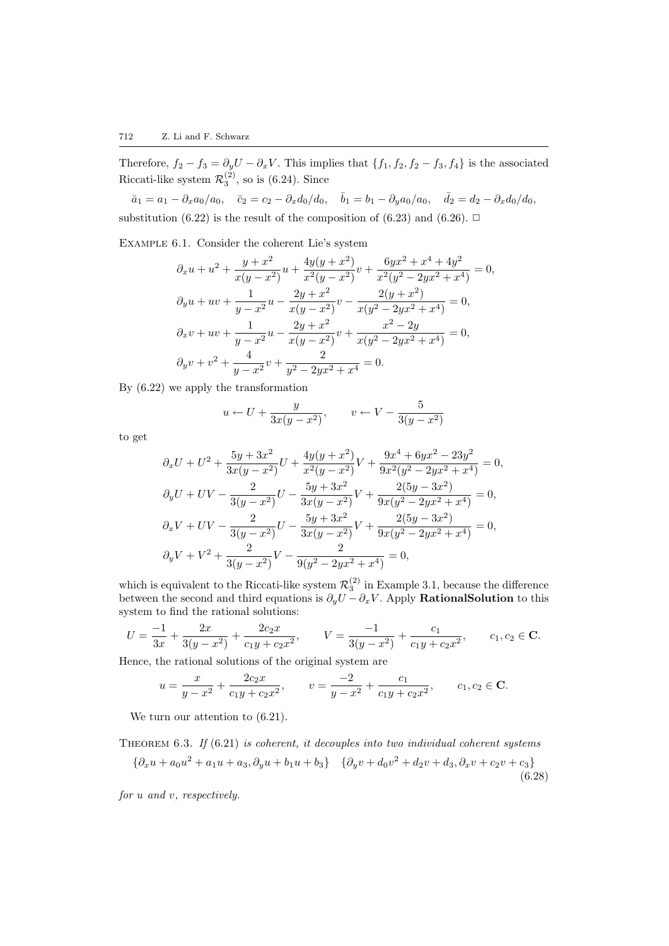Therefore,  $f_2 - f_3 = \partial_y U - \partial_x V$ . This implies that  $\{f_1, f_2, f_2 - f_3, f_4\}$  is the associated Riccati-like system  $\mathcal{R}_3^{(2)}$ , so is [\(6.24](#page-20-0)). Since

 $\bar{a}_1 = a_1 - \partial_x a_0/a_0, \quad \bar{c}_2 = c_2 - \partial_x d_0/d_0, \quad \bar{b}_1 = b_1 - \partial_y a_0/a_0, \quad \bar{d}_2 = d_2 - \partial_x d_0/d_0,$ substitution [\(6.22\)](#page-20-1) is the result of the composition of [\(6.23](#page-20-2))and ([6.26](#page-20-3)).  $\Box$ 

Example 6.1. Consider the coherent Lie's system

$$
\partial_x u + u^2 + \frac{y + x^2}{x(y - x^2)} u + \frac{4y(y + x^2)}{x^2(y - x^2)} v + \frac{6yx^2 + x^4 + 4y^2}{x^2(y^2 - 2yx^2 + x^4)} = 0,
$$
  
\n
$$
\partial_y u + uv + \frac{1}{y - x^2} u - \frac{2y + x^2}{x(y - x^2)} v - \frac{2(y + x^2)}{x(y^2 - 2yx^2 + x^4)} = 0,
$$
  
\n
$$
\partial_x v + uv + \frac{1}{y - x^2} u - \frac{2y + x^2}{x(y - x^2)} v + \frac{x^2 - 2y}{x(y^2 - 2yx^2 + x^4)} = 0,
$$
  
\n
$$
\partial_y v + v^2 + \frac{4}{y - x^2} v + \frac{2}{y^2 - 2yx^2 + x^4} = 0.
$$

By [\(6.22](#page-20-1)) we apply the transformation

$$
u \leftarrow U + \frac{y}{3x(y - x^2)}, \qquad v \leftarrow V - \frac{5}{3(y - x^2)}
$$

to get

$$
\partial_x U + U^2 + \frac{5y + 3x^2}{3x(y - x^2)} U + \frac{4y(y + x^2)}{x^2(y - x^2)} V + \frac{9x^4 + 6yx^2 - 23y^2}{9x^2(y^2 - 2yx^2 + x^4)} = 0,
$$
  
\n
$$
\partial_y U + UV - \frac{2}{3(y - x^2)} U - \frac{5y + 3x^2}{3x(y - x^2)} V + \frac{2(5y - 3x^2)}{9x(y^2 - 2yx^2 + x^4)} = 0,
$$
  
\n
$$
\partial_x V + UV - \frac{2}{3(y - x^2)} U - \frac{5y + 3x^2}{3x(y - x^2)} V + \frac{2(5y - 3x^2)}{9x(y^2 - 2yx^2 + x^4)} = 0,
$$
  
\n
$$
\partial_y V + V^2 + \frac{2}{3(y - x^2)} V - \frac{2}{9(y^2 - 2yx^2 + x^4)} = 0,
$$

which is equivalent to the Riccati-like system  $\mathcal{R}_3^{(2)}$  in Example [3.1,](#page-6-0) because the difference between the second and third equations is  $\partial_y U - \partial_x V$ . Apply **RationalSolution** to this system to find the rational solutions:

$$
U = \frac{-1}{3x} + \frac{2x}{3(y - x^2)} + \frac{2c_2x}{c_1y + c_2x^2}, \qquad V = \frac{-1}{3(y - x^2)} + \frac{c_1}{c_1y + c_2x^2}, \qquad c_1, c_2 \in \mathbf{C}.
$$

Hence, the rational solutions of the original system are

$$
u = \frac{x}{y - x^2} + \frac{2c_2x}{c_1y + c_2x^2}, \qquad v = \frac{-2}{y - x^2} + \frac{c_1}{c_1y + c_2x^2}, \qquad c_1, c_2 \in \mathbf{C}.
$$

Weturn our attention to  $(6.21)$  $(6.21)$ .

THEOREM  $6.3.$  If  $(6.21)$  is coherent, it decouples into two individual coherent systems

$$
\{\partial_x u + a_0 u^2 + a_1 u + a_3, \partial_y u + b_1 u + b_3\} \quad \{\partial_y v + d_0 v^2 + d_2 v + d_3, \partial_x v + c_2 v + c_3\} \tag{6.28}
$$

for u and v, respectively.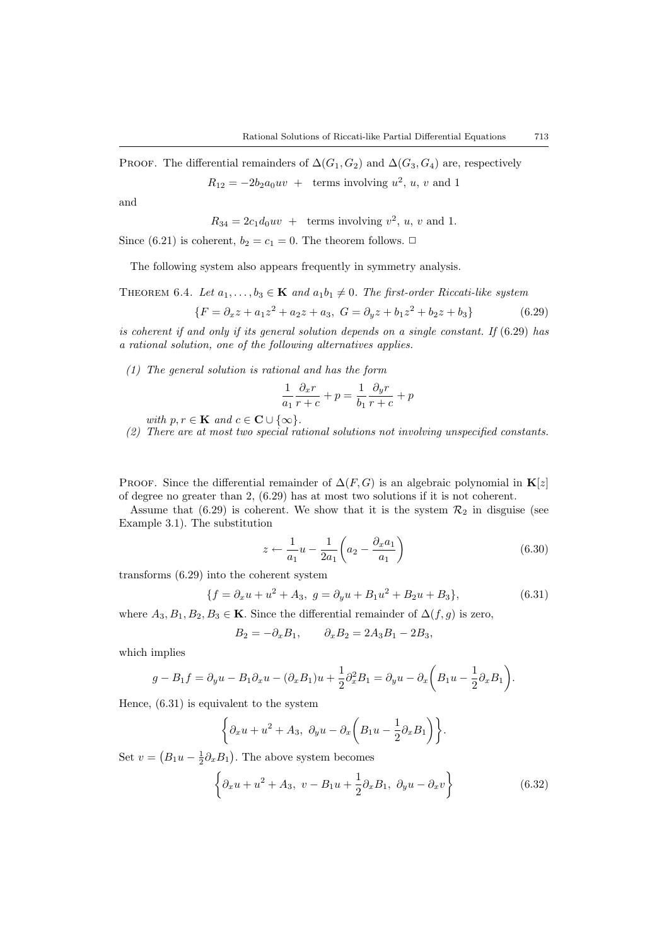PROOF. The differential remainders of  $\Delta(G_1, G_2)$  and  $\Delta(G_3, G_4)$  are, respectively

$$
R_{12} = -2b_2 a_0 uv + \text{terms involving } u^2, u, v \text{ and } 1
$$

and

$$
R_{34} = 2c_1 d_0 uv + \text{terms involving } v^2, u, v \text{ and } 1.
$$

Since([6.21](#page-19-4)) is coherent,  $b_2 = c_1 = 0$ . The theorem follows.  $\Box$ 

The following system also appears frequently in symmetry analysis.

THEOREM 6.4. Let  $a_1, \ldots, b_3 \in \mathbf{K}$  and  $a_1b_1 \neq 0$ . The first-order Riccati-like system

$$
\{F = \partial_x z + a_1 z^2 + a_2 z + a_3, \ G = \partial_y z + b_1 z^2 + b_2 z + b_3\} \tag{6.29}
$$

is coherent if and only if its general solution depends on a single constant. If  $(6.29)$  $(6.29)$  has a rational solution, one of the following alternatives applies.

(1) The general solution is rational and has the form

<span id="page-22-0"></span>
$$
\frac{1}{a_1} \frac{\partial_x r}{r+c} + p = \frac{1}{b_1} \frac{\partial_y r}{r+c} + p
$$

with  $p, r \in \mathbf{K}$  and  $c \in \mathbf{C} \cup \{\infty\}.$ 

<span id="page-22-4"></span>(2) There are at most two special rational solutions not involving unspecified constants.

PROOF. Since the differential remainder of  $\Delta(F, G)$  is an algebraic polynomial in  $\mathbf{K}[z]$ of degree no greater than 2, [\(6.29\)](#page-22-0) has at most two solutions if it is not coherent.

Assume that [\(6.29](#page-22-0)) is coherent. We show that it is the system  $\mathcal{R}_2$  in disguise (see Example [3.1\)](#page-6-0). The substitution

<span id="page-22-2"></span><span id="page-22-1"></span>
$$
z \leftarrow \frac{1}{a_1}u - \frac{1}{2a_1} \left( a_2 - \frac{\partial_x a_1}{a_1} \right) \tag{6.30}
$$

transforms [\(6.29](#page-22-0)) into the coherent system

$$
\{f = \partial_x u + u^2 + A_3, \ g = \partial_y u + B_1 u^2 + B_2 u + B_3\},\tag{6.31}
$$

where  $A_3, B_1, B_2, B_3 \in \mathbf{K}$ . Since the differential remainder of  $\Delta(f, g)$  is zero,

$$
B_2 = -\partial_x B_1, \qquad \partial_x B_2 = 2A_3 B_1 - 2B_3,
$$

which implies

$$
g - B_1 f = \partial_y u - B_1 \partial_x u - (\partial_x B_1) u + \frac{1}{2} \partial_x^2 B_1 = \partial_y u - \partial_x \left( B_1 u - \frac{1}{2} \partial_x B_1 \right).
$$

Hence, [\(6.31\)](#page-22-1) is equivalent to the system

$$
\left\{\partial_x u + u^2 + A_3, \ \partial_y u - \partial_x \left(B_1 u - \frac{1}{2} \partial_x B_1\right)\right\}.
$$

Set  $v = (B_1u - \frac{1}{2}\partial_x B_1)$ . The above system becomes

<span id="page-22-3"></span>
$$
\left\{\partial_x u + u^2 + A_3, v - B_1 u + \frac{1}{2}\partial_x B_1, \ \partial_y u - \partial_x v\right\}
$$
 (6.32)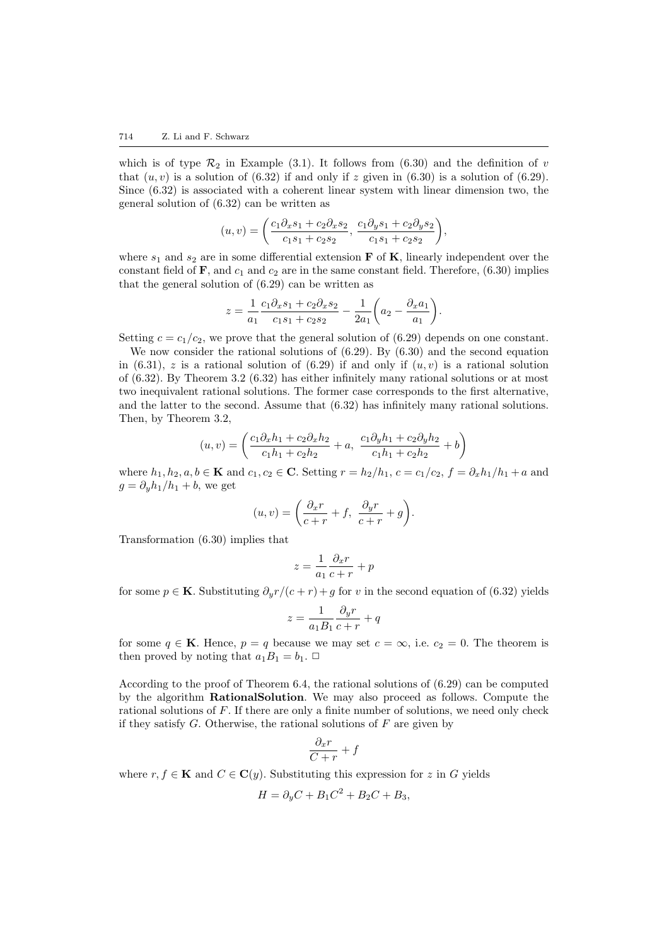whichis of type  $\mathcal{R}_2$  in Example ([3.1](#page-6-0)). It follows from ([6.30](#page-22-2)) and the definition of v that $(u, v)$  is a solution of  $(6.32)$  $(6.32)$  $(6.32)$  if and only if z given in  $(6.30)$  $(6.30)$  $(6.30)$  is a solution of  $(6.29)$ . Since [\(6.32\)](#page-22-3) is associated with a coherent linear system with linear dimension two, the general solution of [\(6.32\)](#page-22-3) can be written as

$$
(u, v) = \left(\frac{c_1 \partial_x s_1 + c_2 \partial_x s_2}{c_1 s_1 + c_2 s_2}, \frac{c_1 \partial_y s_1 + c_2 \partial_y s_2}{c_1 s_1 + c_2 s_2}\right),
$$

where  $s_1$  and  $s_2$  are in some differential extension **F** of **K**, linearly independent over the constantfield of  $\mathbf{F}$ , and  $c_1$  and  $c_2$  are in the same constant field. Therefore, ([6.30](#page-22-2)) implies that the general solution of([6.29\)](#page-22-0) can be written as

$$
z = \frac{1}{a_1} \frac{c_1 \partial_x s_1 + c_2 \partial_x s_2}{c_1 s_1 + c_2 s_2} - \frac{1}{2a_1} \left( a_2 - \frac{\partial_x a_1}{a_1} \right).
$$

Setting  $c = c_1/c_2$ , we prove that the general solution of [\(6.29](#page-22-0)) depends on one constant.

We now consider the rational solutions of  $(6.29)$ . By  $(6.30)$  and the second equation in([6.31](#page-22-1)), z is a rational solution of [\(6.29\)](#page-22-0) if and only if  $(u, v)$  is a rational solution of([6.32\)](#page-22-3). By Theorem [3.2](#page-7-1) ([6.32](#page-22-3)) has either infinitely many rational solutions or at most two inequivalent rational solutions. The former case corresponds to the first alternative, and the latter to the second. Assume that([6.32](#page-22-3)) has infinitely many rational solutions. Then, by Theorem [3.2](#page-7-1),

$$
(u, v) = \left(\frac{c_1 \partial_x h_1 + c_2 \partial_x h_2}{c_1 h_1 + c_2 h_2} + a, \frac{c_1 \partial_y h_1 + c_2 \partial_y h_2}{c_1 h_1 + c_2 h_2} + b\right)
$$

where  $h_1, h_2, a, b \in \mathbf{K}$  and  $c_1, c_2 \in \mathbf{C}$ . Setting  $r = h_2/h_1$ ,  $c = c_1/c_2$ ,  $f = \partial_x h_1/h_1 + a$  and  $g = \partial_u h_1/h_1 + b$ , we get

$$
(u, v) = \left(\frac{\partial_x r}{c+r} + f, \ \frac{\partial_y r}{c+r} + g\right).
$$

Transformation [\(6.30\)](#page-22-2) implies that

$$
z = \frac{1}{a_1} \frac{\partial_x r}{c + r} + p
$$

for some  $p \in \mathbf{K}$ . Substituting  $\partial_y r/(c+r) + g$  for v in the second equation of [\(6.32\)](#page-22-3) yields

$$
z = \frac{1}{a_1 B_1} \frac{\partial_y r}{c + r} + q
$$

for some  $q \in \mathbf{K}$ . Hence,  $p = q$  because we may set  $c = \infty$ , i.e.  $c_2 = 0$ . The theorem is then proved by noting that  $a_1B_1 = b_1$ .  $\Box$ 

According to the proof of Theorem [6.4,](#page-22-4) the rational solutions of([6.29](#page-22-0)) can be computed by the algorithm RationalSolution. We may also proceed as follows. Compute the rational solutions of  $F$ . If there are only a finite number of solutions, we need only check if they satisfy  $G$ . Otherwise, the rational solutions of  $F$  are given by

$$
\frac{\partial_x r}{C+r} + f
$$

where  $r, f \in \mathbf{K}$  and  $C \in \mathbf{C}(y)$ . Substituting this expression for z in G yields

$$
H = \partial_y C + B_1 C^2 + B_2 C + B_3,
$$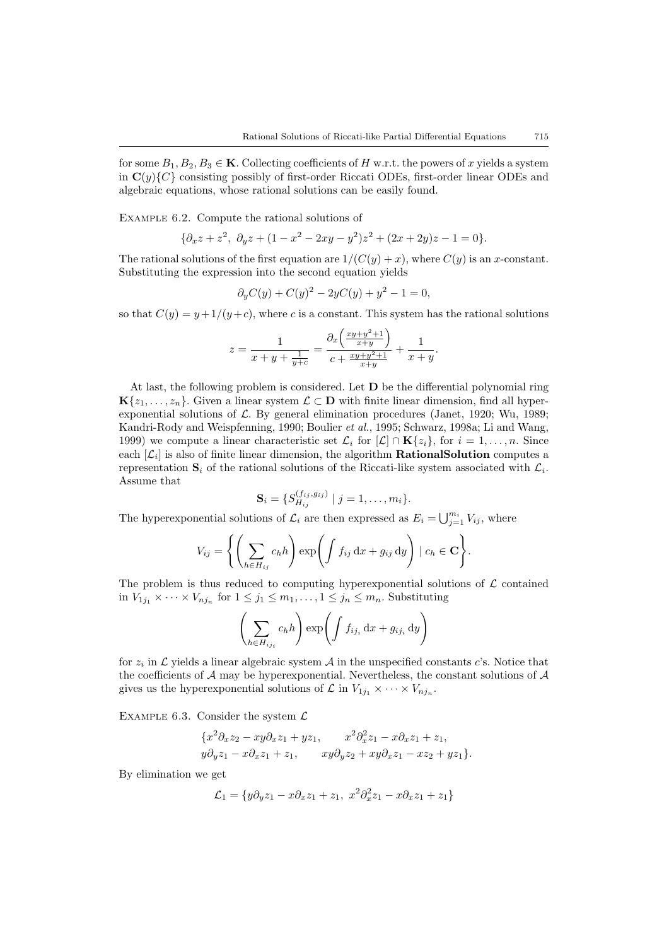for some  $B_1, B_2, B_3 \in \mathbf{K}$ . Collecting coefficients of H w.r.t. the powers of x yields a system in  $\mathbf{C}(y)$  consisting possibly of first-order Riccati ODEs, first-order linear ODEs and algebraic equations, whose rational solutions can be easily found.

Example 6.2. Compute the rational solutions of

$$
\{\partial_x z + z^2, \ \partial_y z + (1 - x^2 - 2xy - y^2)z^2 + (2x + 2y)z - 1 = 0\}.
$$

The rational solutions of the first equation are  $1/(C(y) + x)$ , where  $C(y)$  is an x-constant. Substituting the expression into the second equation yields

$$
\partial_y C(y) + C(y)^2 - 2yC(y) + y^2 - 1 = 0,
$$

so that  $C(y) = y + 1/(y+c)$ , where c is a constant. This system has the rational solutions

$$
z = \frac{1}{x+y+\frac{1}{y+c}} = \frac{\partial_x \left( \frac{xy+y^2+1}{x+y} \right)}{c + \frac{xy+y^2+1}{x+y}} + \frac{1}{x+y}.
$$

At last, the following problem is considered. Let  $D$  be the differential polynomial ring  ${\bf K}\{z_1,\ldots,z_n\}$ . Given a linear system  $\mathcal{L} \subset {\bf D}$  with finite linear dimension, find all hyperexponentialsolutions of  $\mathcal{L}$ . By general elimination procedures ([Janet,](#page-25-6) [1920](#page-25-6); [Wu,](#page-25-8) [1989;](#page-25-8) [Kandri-Rody and Weispfenning](#page-25-10), [1990;](#page-25-10) [Boulier](#page-25-13) et al., [1995](#page-25-13); [Schwarz,](#page-25-7) [1998a;](#page-25-7) [Li and Wang,](#page-25-9) [1999\)](#page-25-9) we compute a linear characteristic set  $\mathcal{L}_i$  for  $[\mathcal{L}] \cap \mathbf{K}{z_i}$ , for  $i = 1, \ldots, n$ . Since each  $[\mathcal{L}_i]$  is also of finite linear dimension, the algorithm **RationalSolution** computes a representation  $S_i$  of the rational solutions of the Riccati-like system associated with  $\mathcal{L}_i$ . Assume that

$$
\mathbf{S}_i = \{ S_{H_{ij}}^{(f_{ij}, g_{ij})} \mid j = 1, \dots, m_i \}.
$$

The hyperexponential solutions of  $\mathcal{L}_i$  are then expressed as  $E_i = \bigcup_{j=1}^{m_i} V_{ij}$ , where

$$
V_{ij} = \left\{ \left( \sum_{h \in H_{ij}} c_h h \right) \exp \left( \int f_{ij} \, dx + g_{ij} \, dy \right) \mid c_h \in \mathbf{C} \right\}.
$$

The problem is thus reduced to computing hyperexponential solutions of  $\mathcal L$  contained in  $V_{1j_1} \times \cdots \times V_{nj_n}$  for  $1 \leq j_1 \leq m_1, \ldots, 1 \leq j_n \leq m_n$ . Substituting

$$
\left(\sum_{h \in H_{ij_i}} c_h h\right) \exp\left(\int f_{ij_i} \,dx + g_{ij_i} \,dy\right)
$$

for  $z_i$  in  $\mathcal L$  yields a linear algebraic system  $\mathcal A$  in the unspecified constants c's. Notice that the coefficients of  $A$  may be hyperexponential. Nevertheless, the constant solutions of  $A$ gives us the hyperexponential solutions of  $\mathcal L$  in  $V_{1j_1} \times \cdots \times V_{nj_n}$ .

EXAMPLE 6.3. Consider the system  $\mathcal L$ 

$$
\begin{aligned} \{x^2\partial_x z_2 - xy\partial_x z_1 + yz_1, & x^2\partial_x^2 z_1 - x\partial_x z_1 + z_1, \\ y\partial_y z_1 - x\partial_x z_1 + z_1, & xy\partial_y z_2 + xy\partial_x z_1 - xz_2 + yz_1 \}. \end{aligned}
$$

By elimination we get

$$
\mathcal{L}_1 = \{ y\partial_y z_1 - x\partial_x z_1 + z_1, \ x^2 \partial_x^2 z_1 - x\partial_x z_1 + z_1 \}
$$